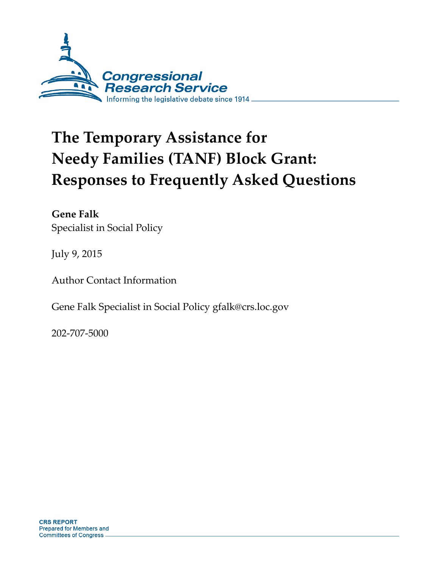

# **The Temporary Assistance for Needy Families (TANF) Block Grant: Responses to Frequently Asked Questions**

**Gene Falk**  Specialist in Social Policy

July 9, 2015

Author Contact Information

Gene Falk Specialist in Social Policy gfalk@crs.loc.gov

202-707-5000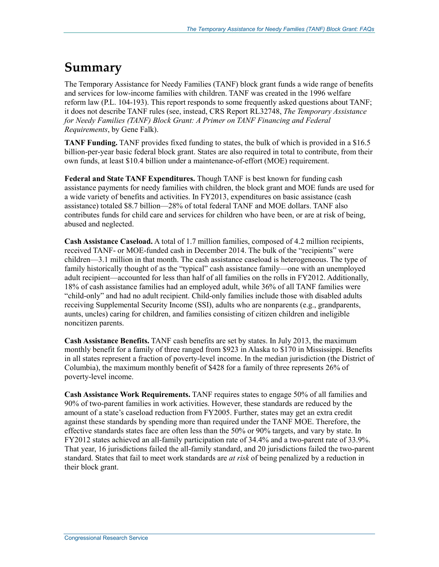# **Summary**

The Temporary Assistance for Needy Families (TANF) block grant funds a wide range of benefits and services for low-income families with children. TANF was created in the 1996 welfare reform law (P.L. 104-193). This report responds to some frequently asked questions about TANF; it does not describe TANF rules (see, instead, CRS Report RL32748, *The Temporary Assistance for Needy Families (TANF) Block Grant: A Primer on TANF Financing and Federal Requirements*, by Gene Falk).

**TANF Funding.** TANF provides fixed funding to states, the bulk of which is provided in a \$16.5 billion-per-year basic federal block grant. States are also required in total to contribute, from their own funds, at least \$10.4 billion under a maintenance-of-effort (MOE) requirement.

**Federal and State TANF Expenditures.** Though TANF is best known for funding cash assistance payments for needy families with children, the block grant and MOE funds are used for a wide variety of benefits and activities. In FY2013, expenditures on basic assistance (cash assistance) totaled \$8.7 billion—28% of total federal TANF and MOE dollars. TANF also contributes funds for child care and services for children who have been, or are at risk of being, abused and neglected.

**Cash Assistance Caseload.** A total of 1.7 million families, composed of 4.2 million recipients, received TANF- or MOE-funded cash in December 2014. The bulk of the "recipients" were children—3.1 million in that month. The cash assistance caseload is heterogeneous. The type of family historically thought of as the "typical" cash assistance family—one with an unemployed adult recipient—accounted for less than half of all families on the rolls in FY2012. Additionally, 18% of cash assistance families had an employed adult, while 36% of all TANF families were "child-only" and had no adult recipient. Child-only families include those with disabled adults receiving Supplemental Security Income (SSI), adults who are nonparents (e.g., grandparents, aunts, uncles) caring for children, and families consisting of citizen children and ineligible noncitizen parents.

**Cash Assistance Benefits.** TANF cash benefits are set by states. In July 2013, the maximum monthly benefit for a family of three ranged from \$923 in Alaska to \$170 in Mississippi. Benefits in all states represent a fraction of poverty-level income. In the median jurisdiction (the District of Columbia), the maximum monthly benefit of \$428 for a family of three represents 26% of poverty-level income.

**Cash Assistance Work Requirements.** TANF requires states to engage 50% of all families and 90% of two-parent families in work activities. However, these standards are reduced by the amount of a state's caseload reduction from FY2005. Further, states may get an extra credit against these standards by spending more than required under the TANF MOE. Therefore, the effective standards states face are often less than the 50% or 90% targets, and vary by state. In FY2012 states achieved an all-family participation rate of 34.4% and a two-parent rate of 33.9%. That year, 16 jurisdictions failed the all-family standard, and 20 jurisdictions failed the two-parent standard. States that fail to meet work standards are *at risk* of being penalized by a reduction in their block grant.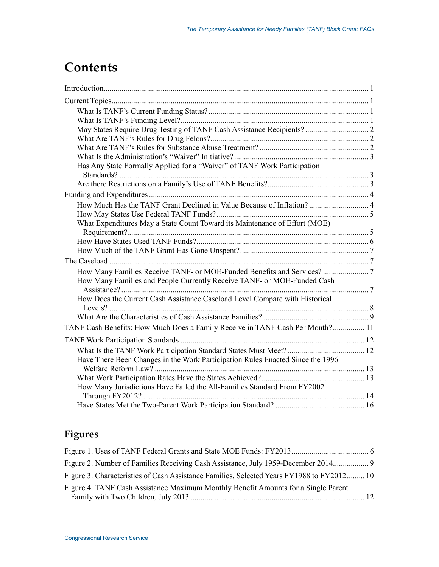# **Contents**

| May States Require Drug Testing of TANF Cash Assistance Recipients? 2          |  |
|--------------------------------------------------------------------------------|--|
|                                                                                |  |
|                                                                                |  |
|                                                                                |  |
| Has Any State Formally Applied for a "Waiver" of TANF Work Participation       |  |
|                                                                                |  |
|                                                                                |  |
| How Much Has the TANF Grant Declined in Value Because of Inflation?  4         |  |
| What Expenditures May a State Count Toward its Maintenance of Effort (MOE)     |  |
|                                                                                |  |
|                                                                                |  |
|                                                                                |  |
|                                                                                |  |
|                                                                                |  |
| How Many Families and People Currently Receive TANF- or MOE-Funded Cash        |  |
| How Does the Current Cash Assistance Caseload Level Compare with Historical    |  |
|                                                                                |  |
|                                                                                |  |
| TANF Cash Benefits: How Much Does a Family Receive in TANF Cash Per Month? 11  |  |
|                                                                                |  |
|                                                                                |  |
| Have There Been Changes in the Work Participation Rules Enacted Since the 1996 |  |
|                                                                                |  |
|                                                                                |  |
| How Many Jurisdictions Have Failed the All-Families Standard From FY2002       |  |
|                                                                                |  |
|                                                                                |  |

## **Figures**

| Figure 2. Number of Families Receiving Cash Assistance, July 1959-December 2014           |  |
|-------------------------------------------------------------------------------------------|--|
| Figure 3. Characteristics of Cash Assistance Families, Selected Years FY1988 to FY2012 10 |  |
| Figure 4. TANF Cash Assistance Maximum Monthly Benefit Amounts for a Single Parent        |  |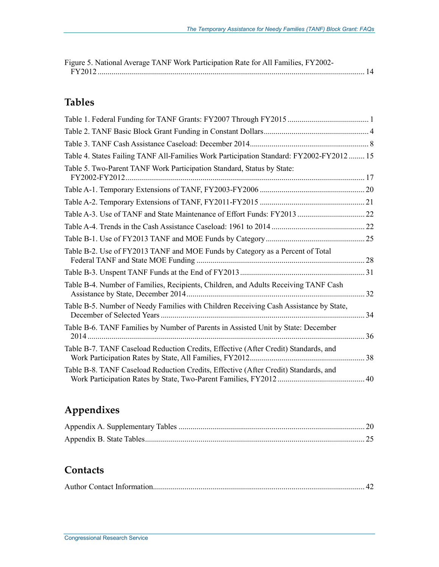| Figure 5. National Average TANF Work Participation Rate for All Families, FY2002- |  |
|-----------------------------------------------------------------------------------|--|
|                                                                                   |  |

## **Tables**

| Table 4. States Failing TANF All-Families Work Participation Standard: FY2002-FY2012 15 |    |
|-----------------------------------------------------------------------------------------|----|
| Table 5. Two-Parent TANF Work Participation Standard, Status by State:                  |    |
|                                                                                         |    |
|                                                                                         |    |
|                                                                                         |    |
|                                                                                         |    |
|                                                                                         |    |
| Table B-2. Use of FY2013 TANF and MOE Funds by Category as a Percent of Total           |    |
|                                                                                         |    |
| Table B-4. Number of Families, Recipients, Children, and Adults Receiving TANF Cash     | 32 |
| Table B-5. Number of Needy Families with Children Receiving Cash Assistance by State,   | 34 |
| Table B-6. TANF Families by Number of Parents in Assisted Unit by State: December       | 36 |
| Table B-7. TANF Caseload Reduction Credits, Effective (After Credit) Standards, and     |    |
| Table B-8. TANF Caseload Reduction Credits, Effective (After Credit) Standards, and     | 40 |

## **Appendixes**

## **Contacts**

|--|--|--|--|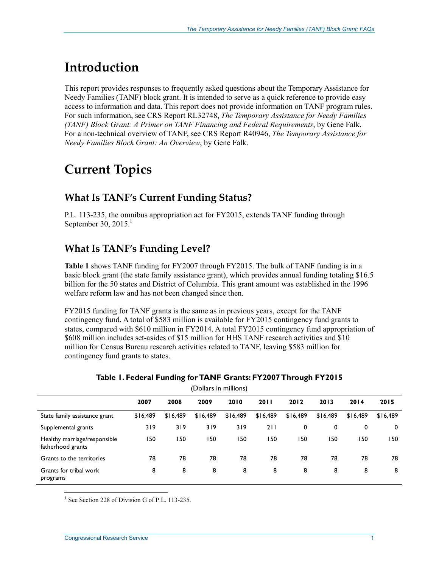# **Introduction**

This report provides responses to frequently asked questions about the Temporary Assistance for Needy Families (TANF) block grant. It is intended to serve as a quick reference to provide easy access to information and data. This report does not provide information on TANF program rules. For such information, see CRS Report RL32748, *The Temporary Assistance for Needy Families (TANF) Block Grant: A Primer on TANF Financing and Federal Requirements*, by Gene Falk. For a non-technical overview of TANF, see CRS Report R40946, *The Temporary Assistance for Needy Families Block Grant: An Overview*, by Gene Falk.

# **Current Topics**

#### **What Is TANF's Current Funding Status?**

P.L. 113-235, the omnibus appropriation act for FY2015, extends TANF funding through September 30, 2015. $^1$ 

#### **What Is TANF's Funding Level?**

**Table 1** shows TANF funding for FY2007 through FY2015. The bulk of TANF funding is in a basic block grant (the state family assistance grant), which provides annual funding totaling \$16.5 billion for the 50 states and District of Columbia. This grant amount was established in the 1996 welfare reform law and has not been changed since then.

FY2015 funding for TANF grants is the same as in previous years, except for the TANF contingency fund. A total of \$583 million is available for FY2015 contingency fund grants to states, compared with \$610 million in FY2014. A total FY2015 contingency fund appropriation of \$608 million includes set-asides of \$15 million for HHS TANF research activities and \$10 million for Census Bureau research activities related to TANF, leaving \$583 million for contingency fund grants to states.

| (Dollars in millions)                             |          |          |          |          |          |          |          |          |          |  |
|---------------------------------------------------|----------|----------|----------|----------|----------|----------|----------|----------|----------|--|
|                                                   | 2007     | 2008     | 2009     | 2010     | 2011     | 2012     | 2013     | 2014     | 2015     |  |
| State family assistance grant                     | \$16,489 | \$16,489 | \$16,489 | \$16,489 | \$16,489 | \$16,489 | \$16,489 | \$16,489 | \$16,489 |  |
| Supplemental grants                               | 319      | 319      | 319      | 319      | 211      | 0        | 0        | 0        | 0        |  |
| Healthy marriage/responsible<br>fatherhood grants | 50       | 150      | 150      | 150      | 150      | 150      | 150      | 150      | 150      |  |
| Grants to the territories                         | 78       | 78       | 78       | 78       | 78       | 78       | 78       | 78       | 78       |  |
| Grants for tribal work<br>programs                | 8        | 8        | 8        | 8        | 8        | 8        | 8        | 8        | 8        |  |

#### **Table 1. Federal Funding for TANF Grants: FY2007 Through FY2015**

<sup>1</sup> See Section 228 of Division G of P.L. 113-235.

<u>.</u>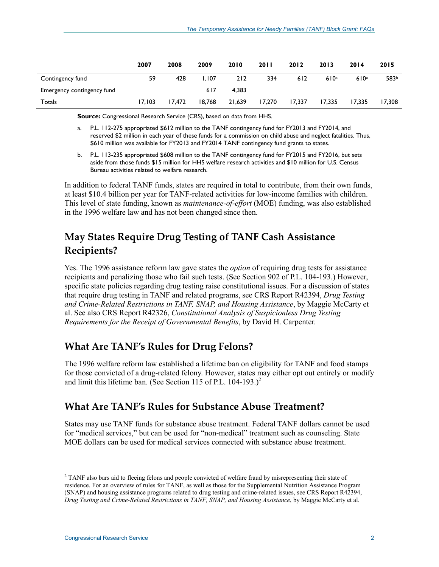|                            | 2007   | 2008   | 2009   | 2010   | <b>2011</b> | 2012   | 2013   | 2014   | 2015   |
|----------------------------|--------|--------|--------|--------|-------------|--------|--------|--------|--------|
| Contingency fund           | 59     | 428    | 1.107  | 212    | 334         | 612    | 610a   | 610a   | 583b   |
| Emergency contingency fund |        |        | 617    | 4.383  |             |        |        |        |        |
| Totals                     | 17.103 | 17.472 | 18.768 | 21,639 | 17,270      | 17,337 | 17,335 | 17.335 | 17.308 |

**Source:** Congressional Research Service (CRS), based on data from HHS.

- a. P.L. 112-275 appropriated \$612 million to the TANF contingency fund for FY2013 and FY2014, and reserved \$2 million in each year of these funds for a commission on child abuse and neglect fatalities. Thus, \$610 million was available for FY2013 and FY2014 TANF contingency fund grants to states.
- b. P.L. 113-235 appropriated \$608 million to the TANF contingency fund for FY2015 and FY2016, but sets aside from those funds \$15 million for HHS welfare research activities and \$10 million for U.S. Census Bureau activities related to welfare research.

In addition to federal TANF funds, states are required in total to contribute, from their own funds, at least \$10.4 billion per year for TANF-related activities for low-income families with children. This level of state funding, known as *maintenance-of-effort* (MOE) funding, was also established in the 1996 welfare law and has not been changed since then.

## **May States Require Drug Testing of TANF Cash Assistance Recipients?**

Yes. The 1996 assistance reform law gave states the *option* of requiring drug tests for assistance recipients and penalizing those who fail such tests. (See Section 902 of P.L. 104-193.) However, specific state policies regarding drug testing raise constitutional issues. For a discussion of states that require drug testing in TANF and related programs, see CRS Report R42394, *Drug Testing and Crime-Related Restrictions in TANF, SNAP, and Housing Assistance*, by Maggie McCarty et al. See also CRS Report R42326, *Constitutional Analysis of Suspicionless Drug Testing Requirements for the Receipt of Governmental Benefits*, by David H. Carpenter.

#### **What Are TANF's Rules for Drug Felons?**

The 1996 welfare reform law established a lifetime ban on eligibility for TANF and food stamps for those convicted of a drug-related felony. However, states may either opt out entirely or modify and limit this lifetime ban. (See Section 115 of P.L.  $104-193.$ )<sup>2</sup>

#### **What Are TANF's Rules for Substance Abuse Treatment?**

States may use TANF funds for substance abuse treatment. Federal TANF dollars cannot be used for "medical services," but can be used for "non-medical" treatment such as counseling. State MOE dollars can be used for medical services connected with substance abuse treatment.

1

<sup>&</sup>lt;sup>2</sup> TANF also bars aid to fleeing felons and people convicted of welfare fraud by misrepresenting their state of residence. For an overview of rules for TANF, as well as those for the Supplemental Nutrition Assistance Program (SNAP) and housing assistance programs related to drug testing and crime-related issues, see CRS Report R42394, *Drug Testing and Crime-Related Restrictions in TANF, SNAP, and Housing Assistance*, by Maggie McCarty et al.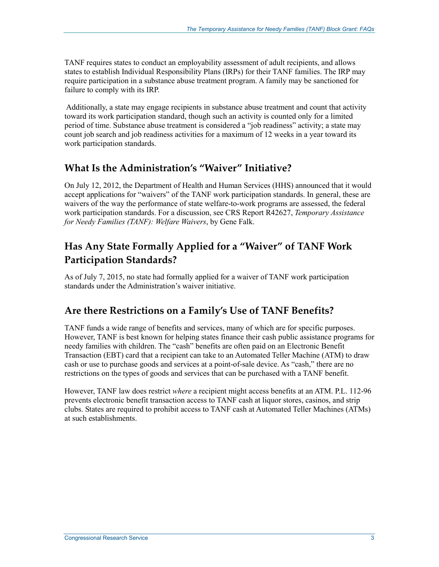TANF requires states to conduct an employability assessment of adult recipients, and allows states to establish Individual Responsibility Plans (IRPs) for their TANF families. The IRP may require participation in a substance abuse treatment program. A family may be sanctioned for failure to comply with its IRP.

 Additionally, a state may engage recipients in substance abuse treatment and count that activity toward its work participation standard, though such an activity is counted only for a limited period of time. Substance abuse treatment is considered a "job readiness" activity; a state may count job search and job readiness activities for a maximum of 12 weeks in a year toward its work participation standards.

## **What Is the Administration's "Waiver" Initiative?**

On July 12, 2012, the Department of Health and Human Services (HHS) announced that it would accept applications for "waivers" of the TANF work participation standards. In general, these are waivers of the way the performance of state welfare-to-work programs are assessed, the federal work participation standards. For a discussion, see CRS Report R42627, *Temporary Assistance for Needy Families (TANF): Welfare Waivers*, by Gene Falk.

## **Has Any State Formally Applied for a "Waiver" of TANF Work Participation Standards?**

As of July 7, 2015, no state had formally applied for a waiver of TANF work participation standards under the Administration's waiver initiative.

## **Are there Restrictions on a Family's Use of TANF Benefits?**

TANF funds a wide range of benefits and services, many of which are for specific purposes. However, TANF is best known for helping states finance their cash public assistance programs for needy families with children. The "cash" benefits are often paid on an Electronic Benefit Transaction (EBT) card that a recipient can take to an Automated Teller Machine (ATM) to draw cash or use to purchase goods and services at a point-of-sale device. As "cash," there are no restrictions on the types of goods and services that can be purchased with a TANF benefit.

However, TANF law does restrict *where* a recipient might access benefits at an ATM. P.L. 112-96 prevents electronic benefit transaction access to TANF cash at liquor stores, casinos, and strip clubs. States are required to prohibit access to TANF cash at Automated Teller Machines (ATMs) at such establishments.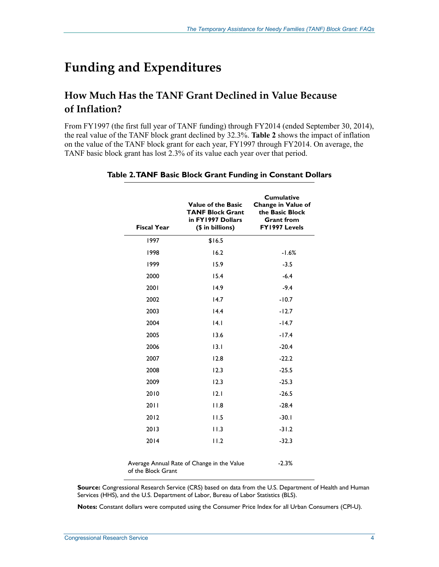# **Funding and Expenditures**

## **How Much Has the TANF Grant Declined in Value Because of Inflation?**

From FY1997 (the first full year of TANF funding) through FY2014 (ended September 30, 2014), the real value of the TANF block grant declined by 32.3%. **Table 2** shows the impact of inflation on the value of the TANF block grant for each year, FY1997 through FY2014. On average, the TANF basic block grant has lost 2.3% of its value each year over that period.

| <b>Fiscal Year</b> | <b>Value of the Basic</b><br><b>TANF Block Grant</b><br>in FY1997 Dollars<br>(\$ in billions) | <b>Cumulative</b><br>Change in Value of<br>the Basic Block<br><b>Grant from</b><br>FY1997 Levels |
|--------------------|-----------------------------------------------------------------------------------------------|--------------------------------------------------------------------------------------------------|
| 1997               | \$16.5                                                                                        |                                                                                                  |
| 1998               | 16.2                                                                                          | $-1.6%$                                                                                          |
| 1999               | 15.9                                                                                          | $-3.5$                                                                                           |
| 2000               | 15.4                                                                                          | $-6.4$                                                                                           |
| 2001               | 14.9                                                                                          | $-9.4$                                                                                           |
| 2002               | 14.7                                                                                          | $-10.7$                                                                                          |
| 2003               | 14.4                                                                                          | $-12.7$                                                                                          |
| 2004               | 4.1                                                                                           | $-14.7$                                                                                          |
| 2005               | 13.6                                                                                          | $-17.4$                                                                                          |
| 2006               | 13.1                                                                                          | $-20.4$                                                                                          |
| 2007               | 12.8                                                                                          | $-22.2$                                                                                          |
| 2008               | 12.3                                                                                          | $-25.5$                                                                                          |
| 2009               | 12.3                                                                                          | $-25.3$                                                                                          |
| 2010               | 12.1                                                                                          | $-26.5$                                                                                          |
| 2011               | 11.8                                                                                          | $-28.4$                                                                                          |
| 2012               | 11.5                                                                                          | $-30.1$                                                                                          |
| 2013               | 11.3                                                                                          | $-31.2$                                                                                          |
| 2014               | 11.2                                                                                          | $-32.3$                                                                                          |
| of the Block Grant | Average Annual Rate of Change in the Value                                                    | $-2.3%$                                                                                          |

#### **Table 2. TANF Basic Block Grant Funding in Constant Dollars**

**Source:** Congressional Research Service (CRS) based on data from the U.S. Department of Health and Human Services (HHS), and the U.S. Department of Labor, Bureau of Labor Statistics (BLS).

**Notes:** Constant dollars were computed using the Consumer Price Index for all Urban Consumers (CPI-U).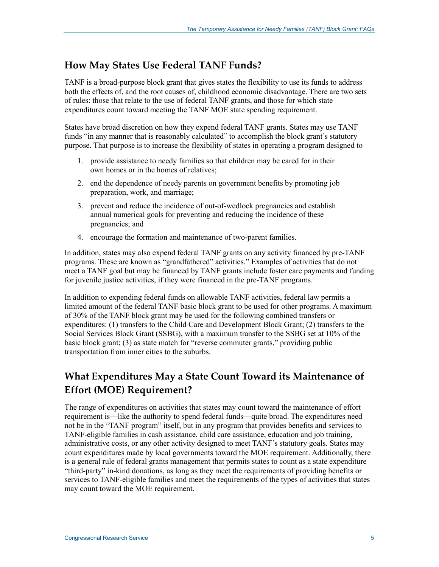#### **How May States Use Federal TANF Funds?**

TANF is a broad-purpose block grant that gives states the flexibility to use its funds to address both the effects of, and the root causes of, childhood economic disadvantage. There are two sets of rules: those that relate to the use of federal TANF grants, and those for which state expenditures count toward meeting the TANF MOE state spending requirement.

States have broad discretion on how they expend federal TANF grants. States may use TANF funds "in any manner that is reasonably calculated" to accomplish the block grant's statutory purpose. That purpose is to increase the flexibility of states in operating a program designed to

- 1. provide assistance to needy families so that children may be cared for in their own homes or in the homes of relatives;
- 2. end the dependence of needy parents on government benefits by promoting job preparation, work, and marriage;
- 3. prevent and reduce the incidence of out-of-wedlock pregnancies and establish annual numerical goals for preventing and reducing the incidence of these pregnancies; and
- 4. encourage the formation and maintenance of two-parent families.

In addition, states may also expend federal TANF grants on any activity financed by pre-TANF programs. These are known as "grandfathered" activities." Examples of activities that do not meet a TANF goal but may be financed by TANF grants include foster care payments and funding for juvenile justice activities, if they were financed in the pre-TANF programs.

In addition to expending federal funds on allowable TANF activities, federal law permits a limited amount of the federal TANF basic block grant to be used for other programs. A maximum of 30% of the TANF block grant may be used for the following combined transfers or expenditures: (1) transfers to the Child Care and Development Block Grant; (2) transfers to the Social Services Block Grant (SSBG), with a maximum transfer to the SSBG set at 10% of the basic block grant; (3) as state match for "reverse commuter grants," providing public transportation from inner cities to the suburbs.

## **What Expenditures May a State Count Toward its Maintenance of Effort (MOE) Requirement?**

The range of expenditures on activities that states may count toward the maintenance of effort requirement is—like the authority to spend federal funds—quite broad. The expenditures need not be in the "TANF program" itself, but in any program that provides benefits and services to TANF-eligible families in cash assistance, child care assistance, education and job training, administrative costs, or any other activity designed to meet TANF's statutory goals. States may count expenditures made by local governments toward the MOE requirement. Additionally, there is a general rule of federal grants management that permits states to count as a state expenditure "third-party" in-kind donations, as long as they meet the requirements of providing benefits or services to TANF-eligible families and meet the requirements of the types of activities that states may count toward the MOE requirement.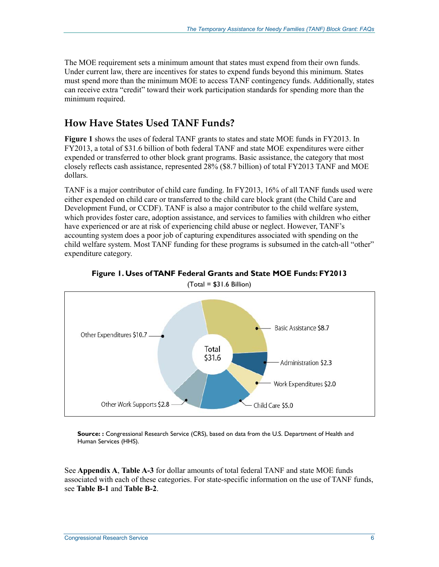The MOE requirement sets a minimum amount that states must expend from their own funds. Under current law, there are incentives for states to expend funds beyond this minimum. States must spend more than the minimum MOE to access TANF contingency funds. Additionally, states can receive extra "credit" toward their work participation standards for spending more than the minimum required.

#### **How Have States Used TANF Funds?**

**Figure 1** shows the uses of federal TANF grants to states and state MOE funds in FY2013. In FY2013, a total of \$31.6 billion of both federal TANF and state MOE expenditures were either expended or transferred to other block grant programs. Basic assistance, the category that most closely reflects cash assistance, represented 28% (\$8.7 billion) of total FY2013 TANF and MOE dollars.

TANF is a major contributor of child care funding. In FY2013, 16% of all TANF funds used were either expended on child care or transferred to the child care block grant (the Child Care and Development Fund, or CCDF). TANF is also a major contributor to the child welfare system, which provides foster care, adoption assistance, and services to families with children who either have experienced or are at risk of experiencing child abuse or neglect. However, TANF's accounting system does a poor job of capturing expenditures associated with spending on the child welfare system. Most TANF funding for these programs is subsumed in the catch-all "other" expenditure category.



**Figure 1. Uses of TANF Federal Grants and State MOE Funds: FY2013** 

 $(Total = $31.6$  Billion)

**Source: :** Congressional Research Service (CRS), based on data from the U.S. Department of Health and Human Services (HHS).

See **Appendix A**, **Table A-3** for dollar amounts of total federal TANF and state MOE funds associated with each of these categories. For state-specific information on the use of TANF funds, see **Table B-1** and **Table B-2**.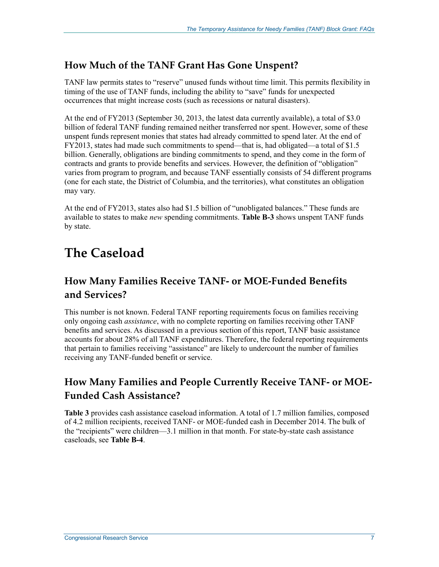#### **How Much of the TANF Grant Has Gone Unspent?**

TANF law permits states to "reserve" unused funds without time limit. This permits flexibility in timing of the use of TANF funds, including the ability to "save" funds for unexpected occurrences that might increase costs (such as recessions or natural disasters).

At the end of FY2013 (September 30, 2013, the latest data currently available), a total of \$3.0 billion of federal TANF funding remained neither transferred nor spent. However, some of these unspent funds represent monies that states had already committed to spend later. At the end of FY2013, states had made such commitments to spend—that is, had obligated—a total of \$1.5 billion. Generally, obligations are binding commitments to spend, and they come in the form of contracts and grants to provide benefits and services. However, the definition of "obligation" varies from program to program, and because TANF essentially consists of 54 different programs (one for each state, the District of Columbia, and the territories), what constitutes an obligation may vary.

At the end of FY2013, states also had \$1.5 billion of "unobligated balances." These funds are available to states to make *new* spending commitments. **Table B-3** shows unspent TANF funds by state.

# **The Caseload**

#### **How Many Families Receive TANF- or MOE-Funded Benefits and Services?**

This number is not known. Federal TANF reporting requirements focus on families receiving only ongoing cash *assistance*, with no complete reporting on families receiving other TANF benefits and services. As discussed in a previous section of this report, TANF basic assistance accounts for about 28% of all TANF expenditures. Therefore, the federal reporting requirements that pertain to families receiving "assistance" are likely to undercount the number of families receiving any TANF-funded benefit or service.

## **How Many Families and People Currently Receive TANF- or MOE-Funded Cash Assistance?**

**Table 3** provides cash assistance caseload information. A total of 1.7 million families, composed of 4.2 million recipients, received TANF- or MOE-funded cash in December 2014. The bulk of the "recipients" were children—3.1 million in that month. For state-by-state cash assistance caseloads, see **Table B-4**.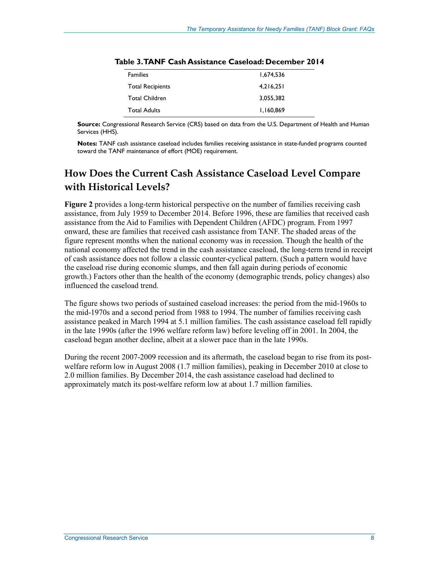| <b>Families</b>         | 1,674,536 |
|-------------------------|-----------|
| <b>Total Recipients</b> | 4,216,251 |
| Total Children          | 3,055,382 |
| <b>Total Adults</b>     | 1,160,869 |
|                         |           |

**Notes:** TANF cash assistance caseload includes families receiving assistance in state-funded programs counted toward the TANF maintenance of effort (MOE) requirement.

#### **How Does the Current Cash Assistance Caseload Level Compare with Historical Levels?**

**Figure 2** provides a long-term historical perspective on the number of families receiving cash assistance, from July 1959 to December 2014. Before 1996, these are families that received cash assistance from the Aid to Families with Dependent Children (AFDC) program. From 1997 onward, these are families that received cash assistance from TANF. The shaded areas of the figure represent months when the national economy was in recession. Though the health of the national economy affected the trend in the cash assistance caseload, the long-term trend in receipt of cash assistance does not follow a classic counter-cyclical pattern. (Such a pattern would have the caseload rise during economic slumps, and then fall again during periods of economic growth.) Factors other than the health of the economy (demographic trends, policy changes) also influenced the caseload trend.

The figure shows two periods of sustained caseload increases: the period from the mid-1960s to the mid-1970s and a second period from 1988 to 1994. The number of families receiving cash assistance peaked in March 1994 at 5.1 million families. The cash assistance caseload fell rapidly in the late 1990s (after the 1996 welfare reform law) before leveling off in 2001. In 2004, the caseload began another decline, albeit at a slower pace than in the late 1990s.

During the recent 2007-2009 recession and its aftermath, the caseload began to rise from its postwelfare reform low in August 2008 (1.7 million families), peaking in December 2010 at close to 2.0 million families. By December 2014, the cash assistance caseload had declined to approximately match its post-welfare reform low at about 1.7 million families.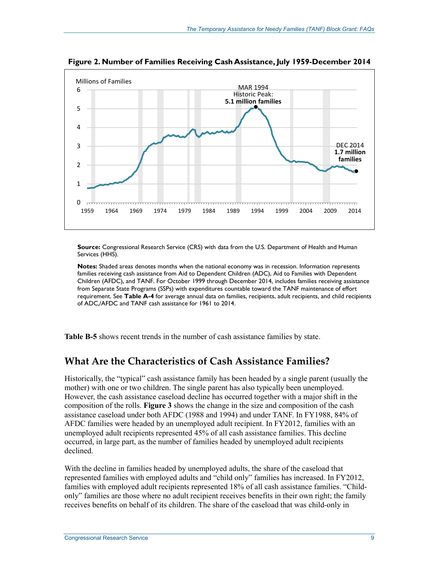

**Figure 2. Number of Families Receiving Cash Assistance, July 1959-December 2014** 

**Notes:** Shaded areas denotes months when the national economy was in recession. Information represents families receiving cash assistance from Aid to Dependent Children (ADC), Aid to Families with Dependent Children (AFDC), and TANF. For October 1999 through December 2014, includes families receiving assistance from Separate State Programs (SSPs) with expenditures countable toward the TANF maintenance of effort requirement. See **Table A-4** for average annual data on families, recipients, adult recipients, and child recipients of ADC,/AFDC and TANF cash assistance for 1961 to 2014.

**Table B-5** shows recent trends in the number of cash assistance families by state.

#### **What Are the Characteristics of Cash Assistance Families?**

Historically, the "typical" cash assistance family has been headed by a single parent (usually the mother) with one or two children. The single parent has also typically been unemployed. However, the cash assistance caseload decline has occurred together with a major shift in the composition of the rolls. **Figure 3** shows the change in the size and composition of the cash assistance caseload under both AFDC (1988 and 1994) and under TANF. In FY1988, 84% of AFDC families were headed by an unemployed adult recipient. In FY2012, families with an unemployed adult recipients represented 45% of all cash assistance families. This decline occurred, in large part, as the number of families headed by unemployed adult recipients declined.

With the decline in families headed by unemployed adults, the share of the caseload that represented families with employed adults and "child only" families has increased. In FY2012, families with employed adult recipients represented 18% of all cash assistance families. "Childonly" families are those where no adult recipient receives benefits in their own right; the family receives benefits on behalf of its children. The share of the caseload that was child-only in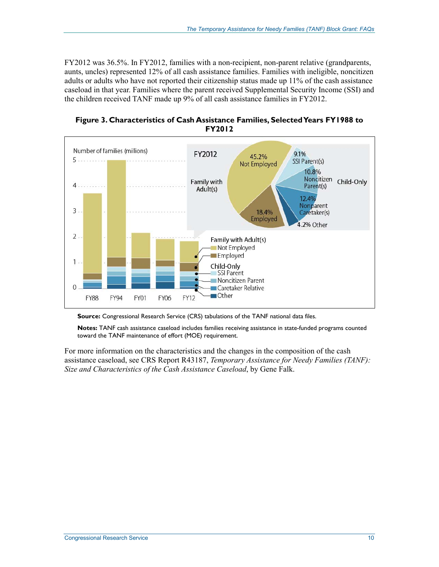FY2012 was 36.5%. In FY2012, families with a non-recipient, non-parent relative (grandparents, aunts, uncles) represented 12% of all cash assistance families. Families with ineligible, noncitizen adults or adults who have not reported their citizenship status made up 11% of the cash assistance caseload in that year. Families where the parent received Supplemental Security Income (SSI) and the children received TANF made up 9% of all cash assistance families in FY2012.





**Source:** Congressional Research Service (CRS) tabulations of the TANF national data files.

**Notes:** TANF cash assistance caseload includes families receiving assistance in state-funded programs counted toward the TANF maintenance of effort (MOE) requirement.

For more information on the characteristics and the changes in the composition of the cash assistance caseload, see CRS Report R43187, *Temporary Assistance for Needy Families (TANF): Size and Characteristics of the Cash Assistance Caseload*, by Gene Falk.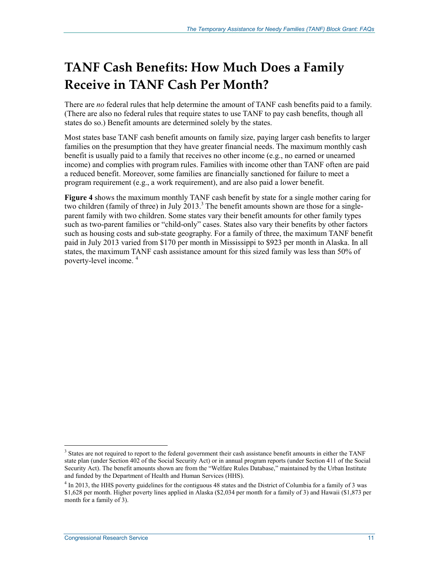# **TANF Cash Benefits: How Much Does a Family Receive in TANF Cash Per Month?**

There are *no* federal rules that help determine the amount of TANF cash benefits paid to a family. (There are also no federal rules that require states to use TANF to pay cash benefits, though all states do so.) Benefit amounts are determined solely by the states.

Most states base TANF cash benefit amounts on family size, paying larger cash benefits to larger families on the presumption that they have greater financial needs. The maximum monthly cash benefit is usually paid to a family that receives no other income (e.g., no earned or unearned income) and complies with program rules. Families with income other than TANF often are paid a reduced benefit. Moreover, some families are financially sanctioned for failure to meet a program requirement (e.g., a work requirement), and are also paid a lower benefit.

**Figure 4** shows the maximum monthly TANF cash benefit by state for a single mother caring for two children (family of three) in July 2013.<sup>3</sup> The benefit amounts shown are those for a singleparent family with two children. Some states vary their benefit amounts for other family types such as two-parent families or "child-only" cases. States also vary their benefits by other factors such as housing costs and sub-state geography. For a family of three, the maximum TANF benefit paid in July 2013 varied from \$170 per month in Mississippi to \$923 per month in Alaska. In all states, the maximum TANF cash assistance amount for this sized family was less than 50% of poverty-level income. <sup>4</sup>

1

<sup>&</sup>lt;sup>3</sup> States are not required to report to the federal government their cash assistance benefit amounts in either the TANF state plan (under Section 402 of the Social Security Act) or in annual program reports (under Section 411 of the Social Security Act). The benefit amounts shown are from the "Welfare Rules Database," maintained by the Urban Institute and funded by the Department of Health and Human Services (HHS).

<sup>&</sup>lt;sup>4</sup> In 2013, the HHS poverty guidelines for the contiguous 48 states and the District of Columbia for a family of 3 was \$1,628 per month. Higher poverty lines applied in Alaska (\$2,034 per month for a family of 3) and Hawaii (\$1,873 per month for a family of 3).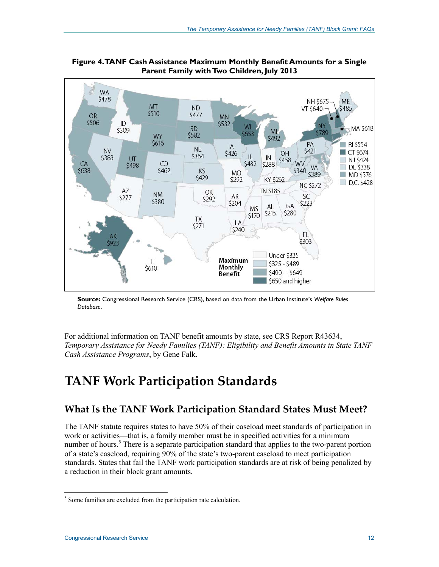

**Figure 4. TANF Cash Assistance Maximum Monthly Benefit Amounts for a Single Parent Family with Two Children, July 2013** 

**Source:** Congressional Research Service (CRS), based on data from the Urban Institute's *Welfare Rules Database*.

For additional information on TANF benefit amounts by state, see CRS Report R43634, *Temporary Assistance for Needy Families (TANF): Eligibility and Benefit Amounts in State TANF Cash Assistance Programs*, by Gene Falk.

# **TANF Work Participation Standards**

## **What Is the TANF Work Participation Standard States Must Meet?**

The TANF statute requires states to have 50% of their caseload meet standards of participation in work or activities—that is, a family member must be in specified activities for a minimum number of hours.<sup>5</sup> There is a separate participation standard that applies to the two-parent portion of a state's caseload, requiring 90% of the state's two-parent caseload to meet participation standards. States that fail the TANF work participation standards are at risk of being penalized by a reduction in their block grant amounts.

<sup>&</sup>lt;sup>5</sup> Some families are excluded from the participation rate calculation.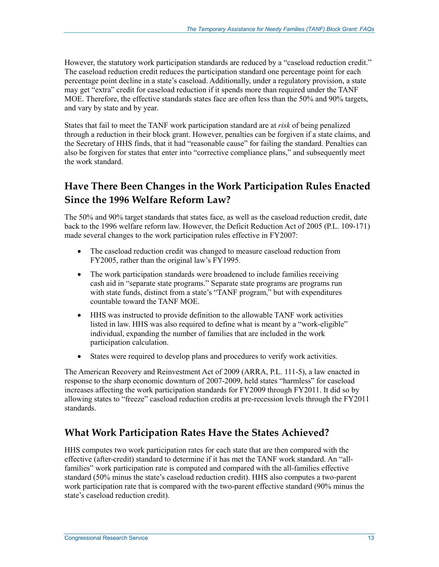However, the statutory work participation standards are reduced by a "caseload reduction credit." The caseload reduction credit reduces the participation standard one percentage point for each percentage point decline in a state's caseload. Additionally, under a regulatory provision, a state may get "extra" credit for caseload reduction if it spends more than required under the TANF MOE. Therefore, the effective standards states face are often less than the 50% and 90% targets, and vary by state and by year.

States that fail to meet the TANF work participation standard are at *risk* of being penalized through a reduction in their block grant. However, penalties can be forgiven if a state claims, and the Secretary of HHS finds, that it had "reasonable cause" for failing the standard. Penalties can also be forgiven for states that enter into "corrective compliance plans," and subsequently meet the work standard.

## **Have There Been Changes in the Work Participation Rules Enacted Since the 1996 Welfare Reform Law?**

The 50% and 90% target standards that states face, as well as the caseload reduction credit, date back to the 1996 welfare reform law. However, the Deficit Reduction Act of 2005 (P.L. 109-171) made several changes to the work participation rules effective in FY2007:

- The caseload reduction credit was changed to measure caseload reduction from FY2005, rather than the original law's FY1995.
- The work participation standards were broadened to include families receiving cash aid in "separate state programs." Separate state programs are programs run with state funds, distinct from a state's "TANF program," but with expenditures countable toward the TANF MOE.
- HHS was instructed to provide definition to the allowable TANF work activities listed in law. HHS was also required to define what is meant by a "work-eligible" individual, expanding the number of families that are included in the work participation calculation.
- States were required to develop plans and procedures to verify work activities.

The American Recovery and Reinvestment Act of 2009 (ARRA, P.L. 111-5), a law enacted in response to the sharp economic downturn of 2007-2009, held states "harmless" for caseload increases affecting the work participation standards for FY2009 through FY2011. It did so by allowing states to "freeze" caseload reduction credits at pre-recession levels through the FY2011 standards.

#### **What Work Participation Rates Have the States Achieved?**

HHS computes two work participation rates for each state that are then compared with the effective (after-credit) standard to determine if it has met the TANF work standard. An "allfamilies" work participation rate is computed and compared with the all-families effective standard (50% minus the state's caseload reduction credit). HHS also computes a two-parent work participation rate that is compared with the two-parent effective standard (90% minus the state's caseload reduction credit).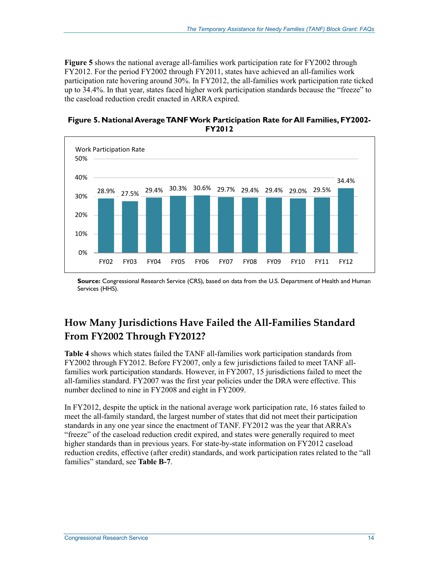**Figure 5** shows the national average all-families work participation rate for FY2002 through FY2012. For the period FY2002 through FY2011, states have achieved an all-families work participation rate hovering around 30%. In FY2012, the all-families work participation rate ticked up to 34.4%. In that year, states faced higher work participation standards because the "freeze" to the caseload reduction credit enacted in ARRA expired.

**Figure 5. National Average TANF Work Participation Rate for All Families, FY2002- FY2012** 



**Source:** Congressional Research Service (CRS), based on data from the U.S. Department of Health and Human Services (HHS).

## **How Many Jurisdictions Have Failed the All-Families Standard From FY2002 Through FY2012?**

**Table 4** shows which states failed the TANF all-families work participation standards from FY2002 through FY2012. Before FY2007, only a few jurisdictions failed to meet TANF allfamilies work participation standards. However, in FY2007, 15 jurisdictions failed to meet the all-families standard. FY2007 was the first year policies under the DRA were effective. This number declined to nine in FY2008 and eight in FY2009.

In FY2012, despite the uptick in the national average work participation rate, 16 states failed to meet the all-family standard, the largest number of states that did not meet their participation standards in any one year since the enactment of TANF. FY2012 was the year that ARRA's "freeze" of the caseload reduction credit expired, and states were generally required to meet higher standards than in previous years. For state-by-state information on FY2012 caseload reduction credits, effective (after credit) standards, and work participation rates related to the "all families" standard, see **Table B-7**.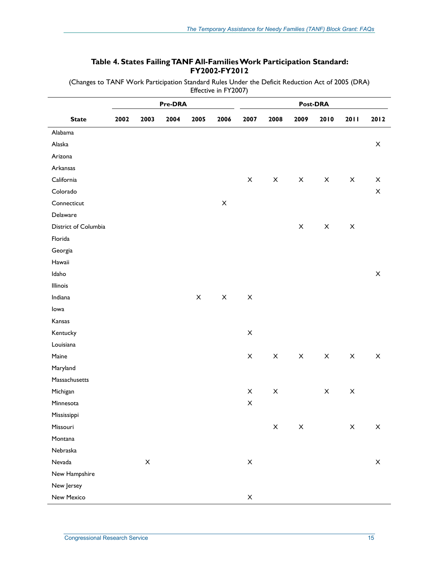#### **Table 4. States Failing TANF All-Families Work Participation Standard: FY2002-FY2012**

(Changes to TANF Work Participation Standard Rules Under the Deficit Reduction Act of 2005 (DRA) Effective in FY2007)

|                      |      | Pre-DRA                   |      |             |                           |                           | Post-DRA                  |                           |                           |                           |                           |  |
|----------------------|------|---------------------------|------|-------------|---------------------------|---------------------------|---------------------------|---------------------------|---------------------------|---------------------------|---------------------------|--|
| <b>State</b>         | 2002 | 2003                      | 2004 | 2005        | 2006                      | 2007                      | 2008                      | 2009                      | 2010                      | 2011                      | 2012                      |  |
| Alabama              |      |                           |      |             |                           |                           |                           |                           |                           |                           |                           |  |
| Alaska               |      |                           |      |             |                           |                           |                           |                           |                           |                           | $\mathsf X$               |  |
| Arizona              |      |                           |      |             |                           |                           |                           |                           |                           |                           |                           |  |
| Arkansas             |      |                           |      |             |                           |                           |                           |                           |                           |                           |                           |  |
| California           |      |                           |      |             |                           | $\boldsymbol{\mathsf{X}}$ | $\boldsymbol{\mathsf{X}}$ | $\boldsymbol{\mathsf{X}}$ | $\mathsf X$               | $\boldsymbol{\mathsf{X}}$ | $\boldsymbol{\mathsf{X}}$ |  |
| Colorado             |      |                           |      |             |                           |                           |                           |                           |                           |                           | $\boldsymbol{\times}$     |  |
| Connecticut          |      |                           |      |             | $\mathsf X$               |                           |                           |                           |                           |                           |                           |  |
| Delaware             |      |                           |      |             |                           |                           |                           |                           |                           |                           |                           |  |
| District of Columbia |      |                           |      |             |                           |                           |                           | $\mathsf X$               | $\mathsf X$               | $\boldsymbol{\times}$     |                           |  |
| Florida              |      |                           |      |             |                           |                           |                           |                           |                           |                           |                           |  |
| Georgia              |      |                           |      |             |                           |                           |                           |                           |                           |                           |                           |  |
| Hawaii               |      |                           |      |             |                           |                           |                           |                           |                           |                           |                           |  |
| Idaho                |      |                           |      |             |                           |                           |                           |                           |                           |                           | $\boldsymbol{\mathsf{X}}$ |  |
| Illinois             |      |                           |      |             |                           |                           |                           |                           |                           |                           |                           |  |
| Indiana              |      |                           |      | $\mathsf X$ | $\boldsymbol{\mathsf{X}}$ | $\boldsymbol{\mathsf{X}}$ |                           |                           |                           |                           |                           |  |
| lowa                 |      |                           |      |             |                           |                           |                           |                           |                           |                           |                           |  |
| Kansas               |      |                           |      |             |                           |                           |                           |                           |                           |                           |                           |  |
| Kentucky             |      |                           |      |             |                           | $\boldsymbol{\mathsf{X}}$ |                           |                           |                           |                           |                           |  |
| Louisiana            |      |                           |      |             |                           |                           |                           |                           |                           |                           |                           |  |
| Maine                |      |                           |      |             |                           | $\boldsymbol{\mathsf{X}}$ | $\boldsymbol{\mathsf{X}}$ | $\boldsymbol{\mathsf{X}}$ | $\mathsf X$               | X                         | $\boldsymbol{\mathsf{X}}$ |  |
| Maryland             |      |                           |      |             |                           |                           |                           |                           |                           |                           |                           |  |
| Massachusetts        |      |                           |      |             |                           |                           |                           |                           |                           |                           |                           |  |
| Michigan             |      |                           |      |             |                           | $\boldsymbol{\mathsf{X}}$ | X                         |                           | $\boldsymbol{\mathsf{X}}$ | $\boldsymbol{\mathsf{X}}$ |                           |  |
| Minnesota            |      |                           |      |             |                           | $\pmb{\times}$            |                           |                           |                           |                           |                           |  |
| Mississippi          |      |                           |      |             |                           |                           |                           |                           |                           |                           |                           |  |
| Missouri             |      |                           |      |             |                           |                           | X                         | X                         |                           | X                         | X                         |  |
| Montana              |      |                           |      |             |                           |                           |                           |                           |                           |                           |                           |  |
| Nebraska             |      |                           |      |             |                           |                           |                           |                           |                           |                           |                           |  |
| Nevada               |      | $\boldsymbol{\mathsf{X}}$ |      |             |                           | $\mathsf X$               |                           |                           |                           |                           | $\boldsymbol{\mathsf{X}}$ |  |
| New Hampshire        |      |                           |      |             |                           |                           |                           |                           |                           |                           |                           |  |
| New Jersey           |      |                           |      |             |                           |                           |                           |                           |                           |                           |                           |  |
| New Mexico           |      |                           |      |             |                           | $\boldsymbol{\mathsf{X}}$ |                           |                           |                           |                           |                           |  |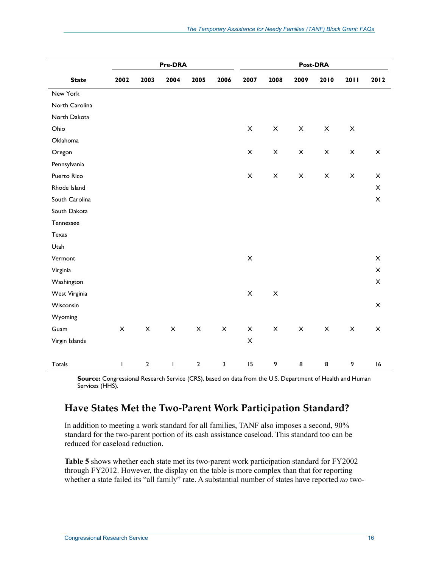|                | Pre-DRA        |                           |                           |                |                |                |                |                           | Post-DRA                  |                           |                           |
|----------------|----------------|---------------------------|---------------------------|----------------|----------------|----------------|----------------|---------------------------|---------------------------|---------------------------|---------------------------|
| <b>State</b>   | 2002           | 2003                      | 2004                      | 2005           | 2006           | 2007           | 2008           | 2009                      | 2010                      | 2011                      | 2012                      |
| New York       |                |                           |                           |                |                |                |                |                           |                           |                           |                           |
| North Carolina |                |                           |                           |                |                |                |                |                           |                           |                           |                           |
| North Dakota   |                |                           |                           |                |                |                |                |                           |                           |                           |                           |
| Ohio           |                |                           |                           |                |                | $\pmb{\times}$ | $\pmb{\times}$ | $\pmb{\times}$            | $\boldsymbol{\mathsf{X}}$ | $\pmb{\times}$            |                           |
| Oklahoma       |                |                           |                           |                |                |                |                |                           |                           |                           |                           |
| Oregon         |                |                           |                           |                |                | $\pmb{\times}$ | $\pmb{\times}$ | $\pmb{\times}$            | $\mathsf{X}$              | $\pmb{\times}$            | $\pmb{\times}$            |
| Pennsylvania   |                |                           |                           |                |                |                |                |                           |                           |                           |                           |
| Puerto Rico    |                |                           |                           |                |                | X              | $\mathsf X$    | $\mathsf X$               | $\mathsf{X}$              | $\boldsymbol{\mathsf{X}}$ | $\boldsymbol{\mathsf{X}}$ |
| Rhode Island   |                |                           |                           |                |                |                |                |                           |                           |                           | $\pmb{\times}$            |
| South Carolina |                |                           |                           |                |                |                |                |                           |                           |                           | $\boldsymbol{\mathsf{X}}$ |
| South Dakota   |                |                           |                           |                |                |                |                |                           |                           |                           |                           |
| Tennessee      |                |                           |                           |                |                |                |                |                           |                           |                           |                           |
| Texas          |                |                           |                           |                |                |                |                |                           |                           |                           |                           |
| Utah           |                |                           |                           |                |                |                |                |                           |                           |                           |                           |
| Vermont        |                |                           |                           |                |                | $\pmb{\times}$ |                |                           |                           |                           | $\boldsymbol{\mathsf{X}}$ |
| Virginia       |                |                           |                           |                |                |                |                |                           |                           |                           | $\boldsymbol{\mathsf{X}}$ |
| Washington     |                |                           |                           |                |                |                |                |                           |                           |                           | $\boldsymbol{\times}$     |
| West Virginia  |                |                           |                           |                |                | $\mathsf X$    | $\pmb{\times}$ |                           |                           |                           |                           |
| Wisconsin      |                |                           |                           |                |                |                |                |                           |                           |                           | $\boldsymbol{\mathsf{X}}$ |
| Wyoming        |                |                           |                           |                |                |                |                |                           |                           |                           |                           |
| Guam           | $\pmb{\times}$ | $\boldsymbol{\mathsf{X}}$ | $\boldsymbol{\mathsf{X}}$ | $\pmb{\times}$ | $\pmb{\times}$ | $\pmb{\times}$ | $\pmb{\times}$ | $\boldsymbol{\mathsf{X}}$ | $\mathsf X$               | $\pmb{\times}$            | $\boldsymbol{\mathsf{X}}$ |
| Virgin Islands |                |                           |                           |                |                | $\pmb{\times}$ |                |                           |                           |                           |                           |
| Totals         | $\mathsf I$    | $\mathbf 2$               | $\mathsf I$               | $\mathbf{2}$   | $\mathbf{3}$   | 15             | 9              | 8                         | 8                         | 9                         | 16                        |

#### **Have States Met the Two-Parent Work Participation Standard?**

In addition to meeting a work standard for all families, TANF also imposes a second, 90% standard for the two-parent portion of its cash assistance caseload. This standard too can be reduced for caseload reduction.

**Table 5** shows whether each state met its two-parent work participation standard for FY2002 through FY2012. However, the display on the table is more complex than that for reporting whether a state failed its "all family" rate. A substantial number of states have reported *no* two-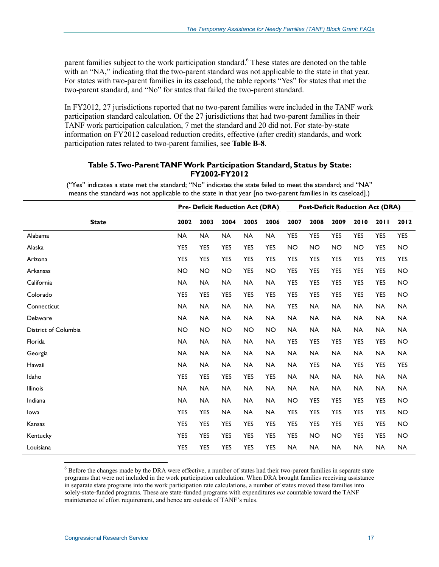parent families subject to the work participation standard. <sup>6</sup> These states are denoted on the table with an "NA," indicating that the two-parent standard was not applicable to the state in that year. For states with two-parent families in its caseload, the table reports "Yes" for states that met the two-parent standard, and "No" for states that failed the two-parent standard.

In FY2012, 27 jurisdictions reported that no two-parent families were included in the TANF work participation standard calculation. Of the 27 jurisdictions that had two-parent families in their TANF work participation calculation, 7 met the standard and 20 did not. For state-by-state information on FY2012 caseload reduction credits, effective (after credit) standards, and work participation rates related to two-parent families, see **Table B-8**.

#### **Table 5. Two-Parent TANF Work Participation Standard, Status by State: FY2002-FY2012**

("Yes" indicates a state met the standard; "No" indicates the state failed to meet the standard; and "NA" means the standard was not applicable to the state in that year [no two-parent families in its caseload].)

|                      | <b>Pre- Deficit Reduction Act (DRA)</b> |            |            |            | <b>Post-Deficit Reduction Act (DRA)</b> |            |            |            |            |            |            |
|----------------------|-----------------------------------------|------------|------------|------------|-----------------------------------------|------------|------------|------------|------------|------------|------------|
| <b>State</b>         | 2002                                    | 2003       | 2004       | 2005       | 2006                                    | 2007       | 2008       | 2009       | 2010       | 2011       | 2012       |
| Alabama              | <b>NA</b>                               | <b>NA</b>  | <b>NA</b>  | <b>NA</b>  | <b>NA</b>                               | <b>YES</b> | <b>YES</b> | <b>YES</b> | <b>YES</b> | <b>YES</b> | <b>YES</b> |
| Alaska               | <b>YES</b>                              | <b>YES</b> | <b>YES</b> | <b>YES</b> | <b>YES</b>                              | <b>NO</b>  | <b>NO</b>  | <b>NO</b>  | <b>NO</b>  | <b>YES</b> | <b>NO</b>  |
| Arizona              | <b>YES</b>                              | <b>YES</b> | <b>YES</b> | <b>YES</b> | <b>YES</b>                              | <b>YES</b> | <b>YES</b> | <b>YES</b> | <b>YES</b> | <b>YES</b> | <b>YES</b> |
| Arkansas             | <b>NO</b>                               | <b>NO</b>  | <b>NO</b>  | <b>YES</b> | <b>NO</b>                               | <b>YES</b> | <b>YES</b> | <b>YES</b> | <b>YES</b> | <b>YES</b> | <b>NO</b>  |
| California           | <b>NA</b>                               | <b>NA</b>  | NA         | NA         | <b>NA</b>                               | <b>YES</b> | <b>YES</b> | <b>YES</b> | <b>YES</b> | <b>YES</b> | NO         |
| Colorado             | <b>YES</b>                              | <b>YES</b> | <b>YES</b> | <b>YES</b> | <b>YES</b>                              | <b>YES</b> | <b>YES</b> | <b>YES</b> | <b>YES</b> | <b>YES</b> | <b>NO</b>  |
| Connecticut          | <b>NA</b>                               | <b>NA</b>  | <b>NA</b>  | <b>NA</b>  | <b>NA</b>                               | <b>YES</b> | <b>NA</b>  | <b>NA</b>  | <b>NA</b>  | <b>NA</b>  | NA         |
| Delaware             | <b>NA</b>                               | <b>NA</b>  | <b>NA</b>  | <b>NA</b>  | <b>NA</b>                               | <b>NA</b>  | <b>NA</b>  | <b>NA</b>  | <b>NA</b>  | <b>NA</b>  | NA         |
| District of Columbia | <b>NO</b>                               | <b>NO</b>  | <b>NO</b>  | <b>NO</b>  | <b>NO</b>                               | <b>NA</b>  | <b>NA</b>  | <b>NA</b>  | <b>NA</b>  | <b>NA</b>  | <b>NA</b>  |
| Florida              | <b>NA</b>                               | <b>NA</b>  | <b>NA</b>  | <b>NA</b>  | <b>NA</b>                               | <b>YES</b> | <b>YES</b> | <b>YES</b> | <b>YES</b> | <b>YES</b> | <b>NO</b>  |
| Georgia              | <b>NA</b>                               | <b>NA</b>  | <b>NA</b>  | <b>NA</b>  | <b>NA</b>                               | <b>NA</b>  | <b>NA</b>  | <b>NA</b>  | <b>NA</b>  | <b>NA</b>  | <b>NA</b>  |
| Hawaii               | <b>NA</b>                               | <b>NA</b>  | <b>NA</b>  | <b>NA</b>  | <b>NA</b>                               | <b>NA</b>  | <b>YES</b> | <b>NA</b>  | <b>YES</b> | <b>YES</b> | <b>YES</b> |
| Idaho                | <b>YES</b>                              | <b>YES</b> | <b>YES</b> | <b>YES</b> | <b>YES</b>                              | <b>NA</b>  | <b>NA</b>  | <b>NA</b>  | <b>NA</b>  | <b>NA</b>  | <b>NA</b>  |
| Illinois             | <b>NA</b>                               | <b>NA</b>  | <b>NA</b>  | <b>NA</b>  | <b>NA</b>                               | <b>NA</b>  | <b>NA</b>  | <b>NA</b>  | <b>NA</b>  | <b>NA</b>  | NA         |
| Indiana              | <b>NA</b>                               | <b>NA</b>  | <b>NA</b>  | <b>NA</b>  | <b>NA</b>                               | <b>NO</b>  | <b>YES</b> | <b>YES</b> | <b>YES</b> | <b>YES</b> | <b>NO</b>  |
| lowa                 | <b>YES</b>                              | <b>YES</b> | <b>NA</b>  | <b>NA</b>  | <b>NA</b>                               | <b>YES</b> | <b>YES</b> | <b>YES</b> | <b>YES</b> | <b>YES</b> | <b>NO</b>  |
| Kansas               | <b>YES</b>                              | <b>YES</b> | <b>YES</b> | <b>YES</b> | <b>YES</b>                              | <b>YES</b> | <b>YES</b> | <b>YES</b> | <b>YES</b> | <b>YES</b> | <b>NO</b>  |
| Kentucky             | <b>YES</b>                              | <b>YES</b> | <b>YES</b> | <b>YES</b> | <b>YES</b>                              | <b>YES</b> | <b>NO</b>  | <b>NO</b>  | <b>YES</b> | <b>YES</b> | <b>NO</b>  |
| Louisiana            | <b>YES</b>                              | <b>YES</b> | <b>YES</b> | <b>YES</b> | <b>YES</b>                              | <b>NA</b>  | <b>NA</b>  | <b>NA</b>  | <b>NA</b>  | <b>NA</b>  | <b>NA</b>  |

<sup>6</sup> Before the changes made by the DRA were effective, a number of states had their two-parent families in separate state programs that were not included in the work participation calculation. When DRA brought families receiving assistance in separate state programs into the work participation rate calculations, a number of states moved these families into solely-state-funded programs. These are state-funded programs with expenditures *not* countable toward the TANF maintenance of effort requirement, and hence are outside of TANF's rules.

1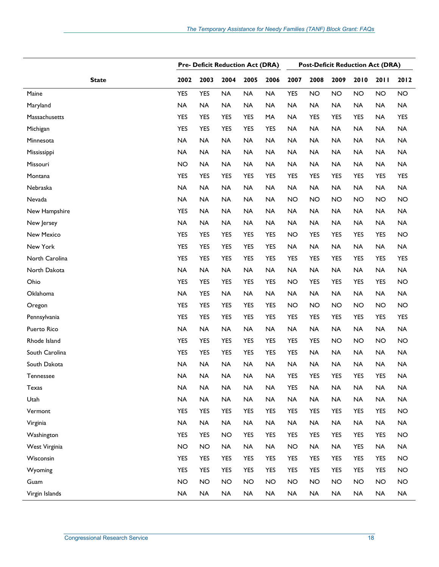|                | <b>Pre- Deficit Reduction Act (DRA)</b> |            |            |            |            | <b>Post-Deficit Reduction Act (DRA)</b> |            |            |            |            |            |  |
|----------------|-----------------------------------------|------------|------------|------------|------------|-----------------------------------------|------------|------------|------------|------------|------------|--|
| <b>State</b>   | 2002                                    | 2003       | 2004       | 2005       | 2006       | 2007                                    | 2008       | 2009       | 2010       | 2011       | 2012       |  |
| Maine          | <b>YES</b>                              | <b>YES</b> | <b>NA</b>  | <b>NA</b>  | <b>NA</b>  | <b>YES</b>                              | <b>NO</b>  | <b>NO</b>  | <b>NO</b>  | <b>NO</b>  | <b>NO</b>  |  |
| Maryland       | <b>NA</b>                               | <b>NA</b>  | <b>NA</b>  | <b>NA</b>  | <b>NA</b>  | <b>NA</b>                               | <b>NA</b>  | <b>NA</b>  | <b>NA</b>  | <b>NA</b>  | <b>NA</b>  |  |
| Massachusetts  | <b>YES</b>                              | YES        | <b>YES</b> | <b>YES</b> | MA         | <b>NA</b>                               | <b>YES</b> | <b>YES</b> | <b>YES</b> | <b>NA</b>  | <b>YES</b> |  |
| Michigan       | <b>YES</b>                              | <b>YES</b> | <b>YES</b> | <b>YES</b> | <b>YES</b> | <b>NA</b>                               | <b>NA</b>  | <b>NA</b>  | <b>NA</b>  | <b>NA</b>  | <b>NA</b>  |  |
| Minnesota      | <b>NA</b>                               | <b>NA</b>  | <b>NA</b>  | <b>NA</b>  | <b>NA</b>  | <b>NA</b>                               | <b>NA</b>  | <b>NA</b>  | <b>NA</b>  | <b>NA</b>  | <b>NA</b>  |  |
| Mississippi    | <b>NA</b>                               | <b>NA</b>  | <b>NA</b>  | <b>NA</b>  | <b>NA</b>  | <b>NA</b>                               | <b>NA</b>  | <b>NA</b>  | <b>NA</b>  | <b>NA</b>  | <b>NA</b>  |  |
| Missouri       | <b>NO</b>                               | <b>NA</b>  | <b>NA</b>  | <b>NA</b>  | <b>NA</b>  | <b>NA</b>                               | <b>NA</b>  | NA         | <b>NA</b>  | <b>NA</b>  | <b>NA</b>  |  |
| Montana        | <b>YES</b>                              | <b>YES</b> | <b>YES</b> | <b>YES</b> | <b>YES</b> | <b>YES</b>                              | <b>YES</b> | <b>YES</b> | <b>YES</b> | <b>YES</b> | <b>YES</b> |  |
| Nebraska       | <b>NA</b>                               | <b>NA</b>  | <b>NA</b>  | <b>NA</b>  | <b>NA</b>  | <b>NA</b>                               | <b>NA</b>  | <b>NA</b>  | <b>NA</b>  | <b>NA</b>  | <b>NA</b>  |  |
| Nevada         | <b>NA</b>                               | <b>NA</b>  | <b>NA</b>  | <b>NA</b>  | <b>NA</b>  | <b>NO</b>                               | <b>NO</b>  | <b>NO</b>  | <b>NO</b>  | <b>NO</b>  | <b>NO</b>  |  |
| New Hampshire  | <b>YES</b>                              | NA         | <b>NA</b>  | <b>NA</b>  | <b>NA</b>  | <b>NA</b>                               | <b>NA</b>  | <b>NA</b>  | <b>NA</b>  | <b>NA</b>  | <b>NA</b>  |  |
| New Jersey     | <b>NA</b>                               | <b>NA</b>  | <b>NA</b>  | <b>NA</b>  | <b>NA</b>  | <b>NA</b>                               | <b>NA</b>  | <b>NA</b>  | <b>NA</b>  | <b>NA</b>  | <b>NA</b>  |  |
| New Mexico     | <b>YES</b>                              | YES        | YES        | <b>YES</b> | <b>YES</b> | <b>NO</b>                               | YES        | YES        | <b>YES</b> | <b>YES</b> | <b>NO</b>  |  |
| New York       | <b>YES</b>                              | <b>YES</b> | YES        | <b>YES</b> | <b>YES</b> | <b>NA</b>                               | <b>NA</b>  | <b>NA</b>  | <b>NA</b>  | <b>NA</b>  | <b>NA</b>  |  |
| North Carolina | <b>YES</b>                              | <b>YES</b> | <b>YES</b> | <b>YES</b> | <b>YES</b> | <b>YES</b>                              | <b>YES</b> | <b>YES</b> | <b>YES</b> | <b>YES</b> | <b>YES</b> |  |
| North Dakota   | <b>NA</b>                               | <b>NA</b>  | <b>NA</b>  | <b>NA</b>  | <b>NA</b>  | <b>NA</b>                               | <b>NA</b>  | <b>NA</b>  | <b>NA</b>  | <b>NA</b>  | <b>NA</b>  |  |
| Ohio           | <b>YES</b>                              | <b>YES</b> | YES        | <b>YES</b> | <b>YES</b> | <b>NO</b>                               | <b>YES</b> | <b>YES</b> | <b>YES</b> | <b>YES</b> | <b>NO</b>  |  |
| Oklahoma       | <b>NA</b>                               | <b>YES</b> | <b>NA</b>  | <b>NA</b>  | <b>NA</b>  | <b>NA</b>                               | <b>NA</b>  | <b>NA</b>  | <b>NA</b>  | <b>NA</b>  | <b>NA</b>  |  |
| Oregon         | <b>YES</b>                              | <b>YES</b> | YES        | <b>YES</b> | <b>YES</b> | <b>NO</b>                               | <b>NO</b>  | <b>NO</b>  | <b>NO</b>  | <b>NO</b>  | <b>NO</b>  |  |
| Pennsylvania   | <b>YES</b>                              | <b>YES</b> | <b>YES</b> | <b>YES</b> | <b>YES</b> | <b>YES</b>                              | YES        | <b>YES</b> | <b>YES</b> | <b>YES</b> | <b>YES</b> |  |
| Puerto Rico    | <b>NA</b>                               | <b>NA</b>  | <b>NA</b>  | <b>NA</b>  | <b>NA</b>  | <b>NA</b>                               | <b>NA</b>  | <b>NA</b>  | <b>NA</b>  | <b>NA</b>  | <b>NA</b>  |  |
| Rhode Island   | <b>YES</b>                              | <b>YES</b> | <b>YES</b> | <b>YES</b> | <b>YES</b> | <b>YES</b>                              | <b>YES</b> | <b>NO</b>  | <b>NO</b>  | <b>NO</b>  | <b>NO</b>  |  |
| South Carolina | <b>YES</b>                              | <b>YES</b> | YES        | <b>YES</b> | <b>YES</b> | <b>YES</b>                              | <b>NA</b>  | <b>NA</b>  | <b>NA</b>  | <b>NA</b>  | <b>NA</b>  |  |
| South Dakota   | <b>NA</b>                               | <b>NA</b>  | <b>NA</b>  | <b>NA</b>  | <b>NA</b>  | <b>NA</b>                               | <b>NA</b>  | <b>NA</b>  | <b>NA</b>  | <b>NA</b>  | <b>NA</b>  |  |
| Tennessee      | <b>NA</b>                               | <b>NA</b>  | <b>NA</b>  | <b>NA</b>  | <b>NA</b>  | <b>YES</b>                              | <b>YES</b> | <b>YES</b> | <b>YES</b> | <b>YES</b> | <b>NA</b>  |  |
| Texas          | <b>NA</b>                               | <b>NA</b>  | <b>NA</b>  | <b>NA</b>  | <b>NA</b>  | <b>YES</b>                              | NA         | <b>NA</b>  | <b>NA</b>  | <b>NA</b>  | <b>NA</b>  |  |
| Utah           | <b>NA</b>                               | <b>NA</b>  | <b>NA</b>  | <b>NA</b>  | <b>NA</b>  | <b>NA</b>                               | <b>NA</b>  | <b>NA</b>  | <b>NA</b>  | <b>NA</b>  | <b>NA</b>  |  |
| Vermont        | <b>YES</b>                              | <b>YES</b> | YES        | <b>YES</b> | <b>YES</b> | <b>YES</b>                              | YES        | YES        | <b>YES</b> | <b>YES</b> | <b>NO</b>  |  |
| Virginia       | <b>NA</b>                               | <b>NA</b>  | <b>NA</b>  | <b>NA</b>  | <b>NA</b>  | <b>NA</b>                               | <b>NA</b>  | <b>NA</b>  | <b>NA</b>  | <b>NA</b>  | <b>NA</b>  |  |
| Washington     | <b>YES</b>                              | <b>YES</b> | <b>NO</b>  | <b>YES</b> | <b>YES</b> | <b>YES</b>                              | <b>YES</b> | YES        | <b>YES</b> | <b>YES</b> | NO.        |  |
| West Virginia  | <b>NO</b>                               | <b>NO</b>  | <b>NA</b>  | <b>NA</b>  | <b>NA</b>  | <b>NO</b>                               | <b>NA</b>  | <b>NA</b>  | <b>YES</b> | <b>NA</b>  | <b>NA</b>  |  |
| Wisconsin      | <b>YES</b>                              | YES        | YES        | <b>YES</b> | YES        | YES                                     | YES        | YES        | YES        | <b>YES</b> | <b>NO</b>  |  |
| Wyoming        | YES                                     | YES        | YES        | <b>YES</b> | <b>YES</b> | <b>YES</b>                              | YES        | YES        | YES        | YES        | <b>NO</b>  |  |
| Guam           | <b>NO</b>                               | <b>NO</b>  | <b>NO</b>  | <b>NO</b>  | <b>NO</b>  | <b>NO</b>                               | <b>NO</b>  | <b>NO</b>  | <b>NO</b>  | <b>NO</b>  | NO         |  |
| Virgin Islands | <b>NA</b>                               | NA         | <b>NA</b>  | <b>NA</b>  | <b>NA</b>  | NA                                      | NA         | NA         | $\sf NA$   | <b>NA</b>  | <b>NA</b>  |  |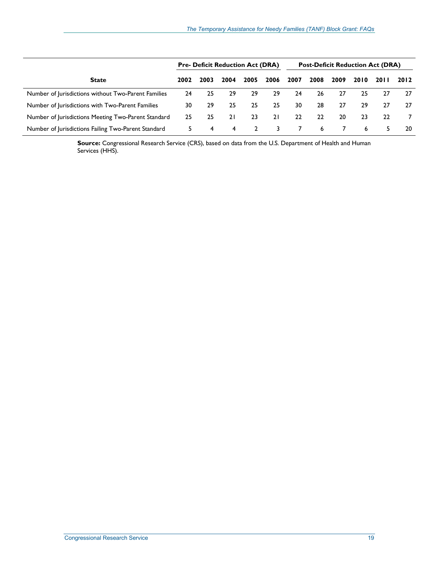|                                                     |      |      | <b>Pre- Deficit Reduction Act (DRA)</b> |      |      | <b>Post-Deficit Reduction Act (DRA)</b> |      |      |      |        |      |
|-----------------------------------------------------|------|------|-----------------------------------------|------|------|-----------------------------------------|------|------|------|--------|------|
| <b>State</b>                                        | 2002 | 2003 | 2004                                    | 2005 | 2006 | 2007                                    | 2008 | 2009 | 2010 | 20 I I | 2012 |
| Number of Jurisdictions without Two-Parent Families | 24   | 25   | 29                                      | 29   | 29   | 24                                      | 26   | 27   | 25   | 27     | -27  |
| Number of Jurisdictions with Two-Parent Families    | 30   | 29   | 25                                      | 25   | 25   | 30                                      | 28   | 27   | 29   | 27     | 27   |
| Number of Jurisdictions Meeting Two-Parent Standard | 25   | 25   | 21                                      | 23   | 21   | 22                                      | 22   | 20   | 23   | 22     |      |
| Number of Jurisdictions Failing Two-Parent Standard | 5.   | 4    | 4                                       |      |      |                                         | 6    |      | 6    |        | 20   |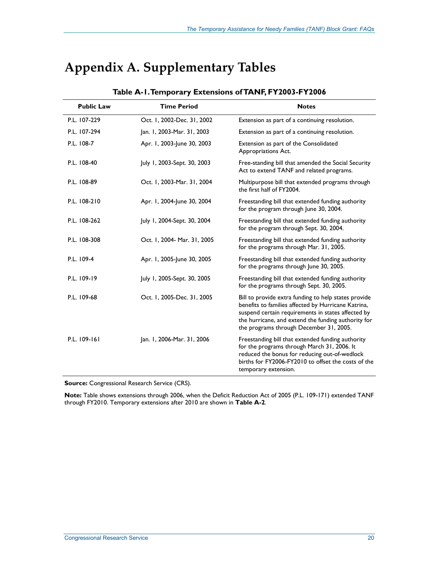# **Appendix A. Supplementary Tables**

| <b>Public Law</b> | <b>Time Period</b>          | <b>Notes</b>                                                                                                                                                                                                                                                        |
|-------------------|-----------------------------|---------------------------------------------------------------------------------------------------------------------------------------------------------------------------------------------------------------------------------------------------------------------|
| P.L. 107-229      | Oct. 1, 2002-Dec. 31, 2002  | Extension as part of a continuing resolution.                                                                                                                                                                                                                       |
| P.L. 107-294      | Jan. 1, 2003-Mar. 31, 2003  | Extension as part of a continuing resolution.                                                                                                                                                                                                                       |
| P.L. 108-7        | Apr. 1, 2003-June 30, 2003  | Extension as part of the Consolidated<br>Appropriations Act.                                                                                                                                                                                                        |
| P.L. 108-40       | July 1, 2003-Sept. 30, 2003 | Free-standing bill that amended the Social Security<br>Act to extend TANF and related programs.                                                                                                                                                                     |
| P.L. 108-89       | Oct. 1, 2003-Mar. 31, 2004  | Multipurpose bill that extended programs through<br>the first half of FY2004.                                                                                                                                                                                       |
| P.L. 108-210      | Apr. 1, 2004-June 30, 2004  | Freestanding bill that extended funding authority<br>for the program through June 30, 2004.                                                                                                                                                                         |
| P.L. 108-262      | July 1, 2004-Sept. 30, 2004 | Freestanding bill that extended funding authority<br>for the program through Sept. 30, 2004.                                                                                                                                                                        |
| P.L. 108-308      | Oct. 1, 2004- Mar. 31, 2005 | Freestanding bill that extended funding authority<br>for the programs through Mar. 31, 2005.                                                                                                                                                                        |
| P.L. 109-4        | Apr. 1, 2005-June 30, 2005  | Freestanding bill that extended funding authority<br>for the programs through June 30, 2005.                                                                                                                                                                        |
| P.L. 109-19       | July 1, 2005-Sept. 30, 2005 | Freestanding bill that extended funding authority<br>for the programs through Sept. 30, 2005.                                                                                                                                                                       |
| P.L. 109-68       | Oct. 1, 2005-Dec. 31, 2005  | Bill to provide extra funding to help states provide<br>benefits to families affected by Hurricane Katrina,<br>suspend certain requirements in states affected by<br>the hurricane, and extend the funding authority for<br>the programs through December 31, 2005. |
| P.L. 109-161      | Jan. 1, 2006-Mar. 31, 2006  | Freestanding bill that extended funding authority<br>for the programs through March 31, 2006. It<br>reduced the bonus for reducing out-of-wedlock<br>births for FY2006-FY2010 to offset the costs of the<br>temporary extension.                                    |

#### **Table A-1. Temporary Extensions of TANF, FY2003-FY2006**

**Source:** Congressional Research Service (CRS).

**Note:** Table shows extensions through 2006, when the Deficit Reduction Act of 2005 (P.L. 109-171) extended TANF through FY2010. Temporary extensions after 2010 are shown in **Table A-2**.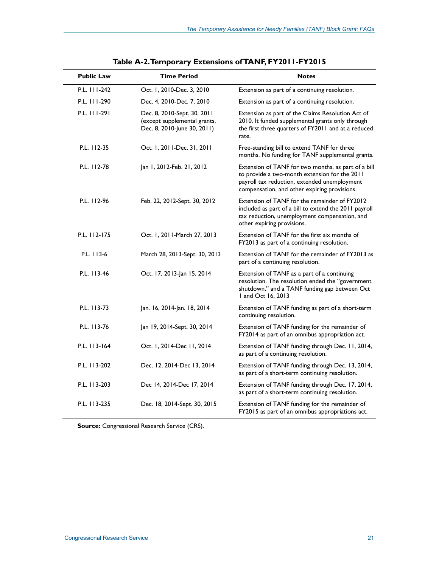| <b>Public Law</b> | <b>Time Period</b>                                                                         | <b>Notes</b>                                                                                                                                                                                         |
|-------------------|--------------------------------------------------------------------------------------------|------------------------------------------------------------------------------------------------------------------------------------------------------------------------------------------------------|
| P.L. 111-242      | Oct. 1, 2010-Dec. 3, 2010                                                                  | Extension as part of a continuing resolution.                                                                                                                                                        |
| P.L. 111-290      | Dec. 4, 2010-Dec. 7, 2010                                                                  | Extension as part of a continuing resolution.                                                                                                                                                        |
| P.L. 111-291      | Dec. 8, 2010-Sept. 30, 2011<br>(except supplemental grants,<br>Dec. 8, 2010-June 30, 2011) | Extension as part of the Claims Resolution Act of<br>2010. It funded supplemental grants only through<br>the first three quarters of FY2011 and at a reduced<br>rate.                                |
| P.L. 112-35       | Oct. 1, 2011-Dec. 31, 2011                                                                 | Free-standing bill to extend TANF for three<br>months. No funding for TANF supplemental grants.                                                                                                      |
| P.L. 112-78       | Jan 1, 2012-Feb. 21, 2012                                                                  | Extension of TANF for two months, as part of a bill<br>to provide a two-month extension for the 2011<br>payroll tax reduction, extended unemployment<br>compensation, and other expiring provisions. |
| P.L. 112-96       | Feb. 22, 2012-Sept. 30, 2012                                                               | Extension of TANF for the remainder of FY2012<br>included as part of a bill to extend the 2011 payroll<br>tax reduction, unemployment compensation, and<br>other expiring provisions.                |
| P.L. 112-175      | Oct. 1, 2011-March 27, 2013                                                                | Extension of TANF for the first six months of<br>FY2013 as part of a continuing resolution.                                                                                                          |
| P.L. 113-6        | March 28, 2013-Sept. 30, 2013                                                              | Extension of TANF for the remainder of FY2013 as<br>part of a continuing resolution.                                                                                                                 |
| P.L. 113-46       | Oct. 17, 2013-Jan 15, 2014                                                                 | Extension of TANF as a part of a continuing<br>resolution. The resolution ended the "government<br>shutdown," and a TANF funding gap between Oct<br>1 and Oct 16, 2013                               |
| P.L. 113-73       | Jan. 16, 2014-Jan. 18, 2014                                                                | Extension of TANF funding as part of a short-term<br>continuing resolution.                                                                                                                          |
| P.L. 113-76       | Jan 19, 2014-Sept. 30, 2014                                                                | Extension of TANF funding for the remainder of<br>FY2014 as part of an omnibus appropriation act.                                                                                                    |
| P.L. 113-164      | Oct. 1, 2014-Dec 11, 2014                                                                  | Extension of TANF funding through Dec. 11, 2014,<br>as part of a continuing resolution.                                                                                                              |
| P.L. 113-202      | Dec. 12, 2014-Dec 13, 2014                                                                 | Extension of TANF funding through Dec. 13, 2014,<br>as part of a short-term continuing resolution.                                                                                                   |
| P.L. 113-203      | Dec 14, 2014-Dec 17, 2014                                                                  | Extension of TANF funding through Dec. 17, 2014,<br>as part of a short-term continuing resolution.                                                                                                   |
| P.L. 113-235      | Dec. 18, 2014-Sept. 30, 2015                                                               | Extension of TANF funding for the remainder of<br>FY2015 as part of an omnibus appropriations act.                                                                                                   |

| Table A-2. Temporary Extensions of TANF, FY2011-FY2015 |  |  |
|--------------------------------------------------------|--|--|
|                                                        |  |  |

**Source:** Congressional Research Service (CRS).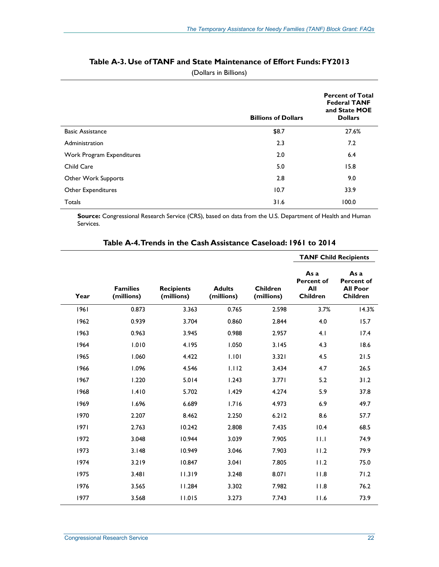|                           | <b>Billions of Dollars</b> | <b>Percent of Total</b><br><b>Federal TANF</b><br>and State MOE<br><b>Dollars</b> |
|---------------------------|----------------------------|-----------------------------------------------------------------------------------|
| <b>Basic Assistance</b>   | \$8.7                      | 27.6%                                                                             |
| Administration            | 2.3                        | 7.2                                                                               |
| Work Program Expenditures | 2.0                        | 6.4                                                                               |
| Child Care                | 5.0                        | 15.8                                                                              |
| Other Work Supports       | 2.8                        | 9.0                                                                               |
| Other Expenditures        | 10.7                       | 33.9                                                                              |
| Totals                    | 31.6                       | 100.0                                                                             |

#### **Table A-3. Use of TANF and State Maintenance of Effort Funds: FY2013**

(Dollars in Billions)

**Source:** Congressional Research Service (CRS), based on data from the U.S. Department of Health and Human Services.

|      |                               |                                 |                             |                               | <b>TANF Child Recipients</b>                 |                                                                 |  |  |
|------|-------------------------------|---------------------------------|-----------------------------|-------------------------------|----------------------------------------------|-----------------------------------------------------------------|--|--|
| Year | <b>Families</b><br>(millions) | <b>Recipients</b><br>(millions) | <b>Adults</b><br>(millions) | <b>Children</b><br>(millions) | As a<br>Percent of<br>All<br><b>Children</b> | As a<br><b>Percent of</b><br><b>All Poor</b><br><b>Children</b> |  |  |
| 1961 | 0.873                         | 3.363                           | 0.765                       | 2.598                         | 3.7%                                         | 14.3%                                                           |  |  |
| 1962 | 0.939                         | 3.704                           | 0.860                       | 2.844                         | 4.0                                          | 15.7                                                            |  |  |
| 1963 | 0.963                         | 3.945                           | 0.988                       | 2.957                         | 4.1                                          | 17.4                                                            |  |  |
| 1964 | 1.010                         | 4.195                           | 1.050                       | 3.145                         | 4.3                                          | 18.6                                                            |  |  |
| 1965 | 1.060                         | 4.422                           | 1.101                       | 3.321                         | 4.5                                          | 21.5                                                            |  |  |
| 1966 | 1.096                         | 4.546                           | 1.112                       | 3.434                         | 4.7                                          | 26.5                                                            |  |  |
| 1967 | 1.220                         | 5.014                           | 1.243                       | 3.771                         | 5.2                                          | 31.2                                                            |  |  |
| 1968 | 1.410                         | 5.702                           | 1.429                       | 4.274                         | 5.9                                          | 37.8                                                            |  |  |
| 1969 | 1.696                         | 6.689                           | 1.716                       | 4.973                         | 6.9                                          | 49.7                                                            |  |  |
| 1970 | 2.207                         | 8.462                           | 2.250                       | 6.212                         | 8.6                                          | 57.7                                                            |  |  |
| 1971 | 2.763                         | 10.242                          | 2.808                       | 7.435                         | 10.4                                         | 68.5                                                            |  |  |
| 1972 | 3.048                         | 10.944                          | 3.039                       | 7.905                         | 11.1                                         | 74.9                                                            |  |  |
| 1973 | 3.148                         | 10.949                          | 3.046                       | 7.903                         | 11.2                                         | 79.9                                                            |  |  |
| 1974 | 3.219                         | 10.847                          | 3.041                       | 7.805                         | 11.2                                         | 75.0                                                            |  |  |
| 1975 | 3.481                         | 11.319                          | 3.248                       | 8.071                         | 11.8                                         | 71.2                                                            |  |  |
| 1976 | 3.565                         | 11.284                          | 3.302                       | 7.982                         | 11.8                                         | 76.2                                                            |  |  |
| 1977 | 3.568                         | 11.015                          | 3.273                       | 7.743                         | 11.6                                         | 73.9                                                            |  |  |
|      |                               |                                 |                             |                               |                                              |                                                                 |  |  |

#### **Table A-4. Trends in the Cash Assistance Caseload: 1961 to 2014**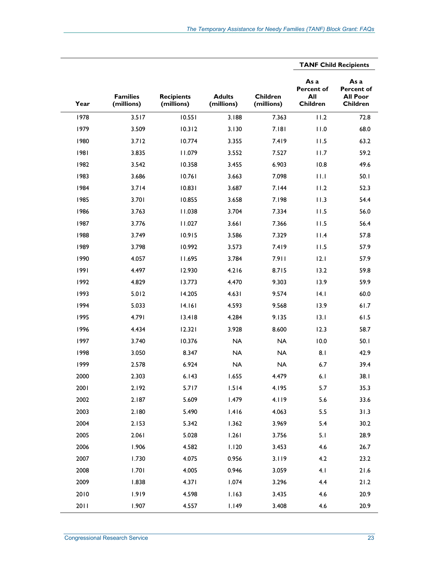|      |                               |                                 |                             |                               | <b>TANF Child Recipients</b>                        |                                                          |
|------|-------------------------------|---------------------------------|-----------------------------|-------------------------------|-----------------------------------------------------|----------------------------------------------------------|
| Year | <b>Families</b><br>(millions) | <b>Recipients</b><br>(millions) | <b>Adults</b><br>(millions) | <b>Children</b><br>(millions) | As a<br><b>Percent of</b><br>All<br><b>Children</b> | As a<br><b>Percent of</b><br><b>All Poor</b><br>Children |
| 1978 | 3.517                         | 10.551                          | 3.188                       | 7.363                         | 11.2                                                | 72.8                                                     |
| 1979 | 3.509                         | 10.312                          | 3.130                       | 7.181                         | 11.0                                                | 68.0                                                     |
| 1980 | 3.712                         | 10.774                          | 3.355                       | 7.419                         | 11.5                                                | 63.2                                                     |
| 1981 | 3.835                         | 11.079                          | 3.552                       | 7.527                         | 11.7                                                | 59.2                                                     |
| 1982 | 3.542                         | 10.358                          | 3.455                       | 6.903                         | 10.8                                                | 49.6                                                     |
| 1983 | 3.686                         | 10.761                          | 3.663                       | 7.098                         | 11.1                                                | 50.1                                                     |
| 1984 | 3.714                         | 10.831                          | 3.687                       | 7.144                         | 11.2                                                | 52.3                                                     |
| 1985 | 3.701                         | 10.855                          | 3.658                       | 7.198                         | 11.3                                                | 54.4                                                     |
| 1986 | 3.763                         | 11.038                          | 3.704                       | 7.334                         | 11.5                                                | 56.0                                                     |
| 1987 | 3.776                         | 11.027                          | 3.661                       | 7.366                         | 11.5                                                | 56.4                                                     |
| 1988 | 3.749                         | 10.915                          | 3.586                       | 7.329                         | 11.4                                                | 57.8                                                     |
| 1989 | 3.798                         | 10.992                          | 3.573                       | 7.419                         | 11.5                                                | 57.9                                                     |
| 1990 | 4.057                         | 11.695                          | 3.784                       | 7.911                         | 12.1                                                | 57.9                                                     |
| 1991 | 4.497                         | 12.930                          | 4.216                       | 8.715                         | 13.2                                                | 59.8                                                     |
| 1992 | 4.829                         | 13.773                          | 4.470                       | 9.303                         | 13.9                                                | 59.9                                                     |
| 1993 | 5.012                         | 14.205                          | 4.631                       | 9.574                         | 4.1                                                 | 60.0                                                     |
| 1994 | 5.033                         | 14.161                          | 4.593                       | 9.568                         | 13.9                                                | 61.7                                                     |
| 1995 | 4.791                         | 13.418                          | 4.284                       | 9.135                         | 13.1                                                | 61.5                                                     |
| 1996 | 4.434                         | 12.321                          | 3.928                       | 8.600                         | 12.3                                                | 58.7                                                     |
| 1997 | 3.740                         | 10.376                          | <b>NA</b>                   | <b>NA</b>                     | 10.0                                                | 50.1                                                     |
| 1998 | 3.050                         | 8.347                           | <b>NA</b>                   | <b>NA</b>                     | 8.1                                                 | 42.9                                                     |
| 1999 | 2.578                         | 6.924                           | <b>NA</b>                   | <b>NA</b>                     | 6.7                                                 | 39.4                                                     |
| 2000 | 2.303                         | 6.143                           | 1.655                       | 4.479                         | 6.1                                                 | 38.1                                                     |
| 2001 | 2.192                         | 5.717                           | 1.514                       | 4.195                         | 5.7                                                 | 35.3                                                     |
| 2002 | 2.187                         | 5.609                           | 1.479                       | 4.119                         | 5.6                                                 | 33.6                                                     |
| 2003 | 2.180                         | 5.490                           | 1.416                       | 4.063                         | 5.5                                                 | 31.3                                                     |
| 2004 | 2.153                         | 5.342                           | 1.362                       | 3.969                         | 5.4                                                 | 30.2                                                     |
| 2005 | 2.061                         | 5.028                           | 1.261                       | 3.756                         | 5.1                                                 | 28.9                                                     |
| 2006 | 1.906                         | 4.582                           | 1.120                       | 3.453                         | 4.6                                                 | 26.7                                                     |
| 2007 | 1.730                         | 4.075                           | 0.956                       | 3.119                         | 4.2                                                 | 23.2                                                     |
| 2008 | 1.701                         | 4.005                           | 0.946                       | 3.059                         | 4.1                                                 | 21.6                                                     |
| 2009 | 1.838                         | 4.371                           | 1.074                       | 3.296                         | 4.4                                                 | 21.2                                                     |
| 2010 | 1.919                         | 4.598                           | 1.163                       | 3.435                         | 4.6                                                 | 20.9                                                     |

2011 1.907 4.557 1.149 3.408 4.6 20.9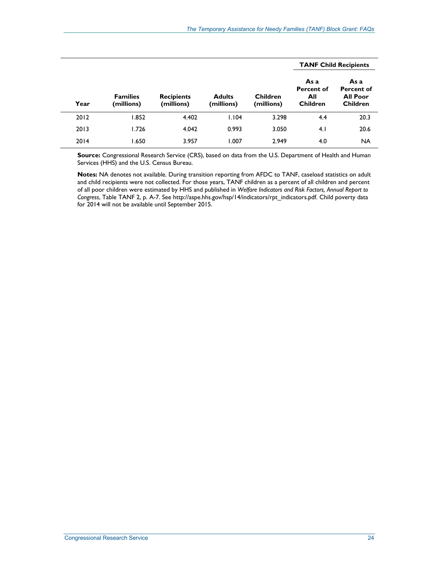|      |                               |                                 |       |                               | <b>TANF Child Recipients</b>                        |                                                                 |  |
|------|-------------------------------|---------------------------------|-------|-------------------------------|-----------------------------------------------------|-----------------------------------------------------------------|--|
| Year | <b>Families</b><br>(millions) | <b>Recipients</b><br>(millions) |       | <b>Children</b><br>(millions) | As a<br><b>Percent of</b><br>All<br><b>Children</b> | As a<br><b>Percent of</b><br><b>All Poor</b><br><b>Children</b> |  |
| 2012 | 1.852                         | 4.402                           | 1.104 | 3.298                         | 4.4                                                 | 20.3                                                            |  |
| 2013 | 1.726                         | 4.042                           | 0.993 | 3.050                         | 4.1                                                 | 20.6                                                            |  |
| 2014 | 1.650                         | 3.957                           | 1.007 | 2.949                         | 4.0                                                 | NA                                                              |  |

**Source:** Congressional Research Service (CRS), based on data from the U.S. Department of Health and Human Services (HHS) and the U.S. Census Bureau.

**Notes:** NA denotes not available. During transition reporting from AFDC to TANF, caseload statistics on adult and child recipients were not collected. For those years, TANF children as a percent of all children and percent of all poor children were estimated by HHS and published in *Welfare Indicators and Risk Factors, Annual Report to Congress*, Table TANF 2, p. A-7. See http://aspe.hhs.gov/hsp/14/indicators/rpt\_indicators.pdf. Child poverty data for 2014 will not be available until September 2015.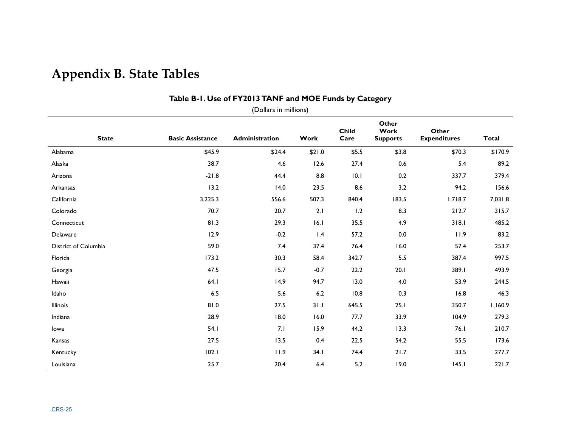# **Appendix B. State Tables**

| (Dollars in millions) |                         |                |        |                      |                                  |                              |         |  |  |  |  |  |
|-----------------------|-------------------------|----------------|--------|----------------------|----------------------------------|------------------------------|---------|--|--|--|--|--|
| <b>State</b>          | <b>Basic Assistance</b> | Administration | Work   | <b>Child</b><br>Care | Other<br>Work<br><b>Supports</b> | Other<br><b>Expenditures</b> | Total   |  |  |  |  |  |
| Alabama               | \$45.9                  | \$24.4         | \$21.0 | \$5.5                | \$3.8                            | \$70.3                       | \$170.9 |  |  |  |  |  |
| Alaska                | 38.7                    | 4.6            | 12.6   | 27.4                 | 0.6                              | 5.4                          | 89.2    |  |  |  |  |  |
| Arizona               | $-21.8$                 | 44.4           | 8.8    | 10.1                 | 0.2                              | 337.7                        | 379.4   |  |  |  |  |  |
| Arkansas              | 13.2                    | 14.0           | 23.5   | 8.6                  | 3.2                              | 94.2                         | 156.6   |  |  |  |  |  |
| California            | 3,225.3                 | 556.6          | 507.3  | 840.4                | 183.5                            | 1,718.7                      | 7,031.8 |  |  |  |  |  |
| Colorado              | 70.7                    | 20.7           | 2.1    | 1.2                  | 8.3                              | 212.7                        | 315.7   |  |  |  |  |  |
| Connecticut           | 81.3                    | 29.3           | 16.1   | 35.5                 | 4.9                              | 318.1                        | 485.2   |  |  |  |  |  |
| Delaware              | 12.9                    | $-0.2$         | 1.4    | 57.2                 | 0.0                              | 11.9                         | 83.2    |  |  |  |  |  |
| District of Columbia  | 59.0                    | 7.4            | 37.4   | 76.4                 | 16.0                             | 57.4                         | 253.7   |  |  |  |  |  |
| Florida               | 173.2                   | 30.3           | 58.4   | 342.7                | 5.5                              | 387.4                        | 997.5   |  |  |  |  |  |
| Georgia               | 47.5                    | 15.7           | $-0.7$ | 22.2                 | 20.1                             | 389.I                        | 493.9   |  |  |  |  |  |
| Hawaii                | 64.1                    | 14.9           | 94.7   | 13.0                 | 4.0                              | 53.9                         | 244.5   |  |  |  |  |  |
| Idaho                 | 6.5                     | 5.6            | $6.2$  | 10.8                 | 0.3                              | 16.8                         | 46.3    |  |  |  |  |  |
| Illinois              | 81.0                    | 27.5           | 31.1   | 645.5                | 25.1                             | 350.7                        | 1,160.9 |  |  |  |  |  |
| Indiana               | 28.9                    | 18.0           | 16.0   | 77.7                 | 33.9                             | 104.9                        | 279.3   |  |  |  |  |  |
| lowa                  | 54.1                    | 7.1            | 15.9   | 44.2                 | 13.3                             | 76.1                         | 210.7   |  |  |  |  |  |
| Kansas                | 27.5                    | 13.5           | 0.4    | 22.5                 | 54.2                             | 55.5                         | 173.6   |  |  |  |  |  |
| Kentucky              | 102.1                   | 11.9           | 34.1   | 74.4                 | 21.7                             | 33.5                         | 277.7   |  |  |  |  |  |
| Louisiana             | 25.7                    | 20.4           | $6.4$  | 5.2                  | 19.0                             | 145.1                        | 221.7   |  |  |  |  |  |

#### **Table B-1. Use of FY2013 TANF and MOE Funds by Category**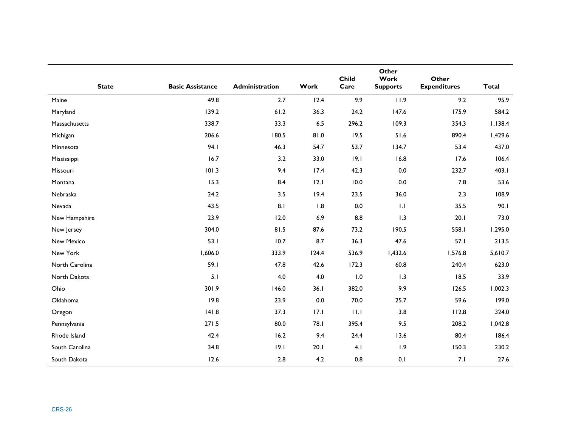| <b>State</b>   | <b>Basic Assistance</b> | Administration | Work  | <b>Child</b><br>Care | Other<br>Work<br><b>Supports</b> | Other<br><b>Expenditures</b> | <b>Total</b> |
|----------------|-------------------------|----------------|-------|----------------------|----------------------------------|------------------------------|--------------|
| Maine          | 49.8                    | 2.7            | 12.4  | 9.9                  | 11.9                             | 9.2                          | 95.9         |
| Maryland       | 139.2                   | $61.2$         | 36.3  | 24.2                 | 147.6                            | 175.9                        | 584.2        |
| Massachusetts  | 338.7                   | 33.3           | 6.5   | 296.2                | 109.3                            | 354.3                        | 1,138.4      |
| Michigan       | 206.6                   | 180.5          | 0.18  | 19.5                 | 51.6                             | 890.4                        | 1,429.6      |
| Minnesota      | 94.I                    | 46.3           | 54.7  | 53.7                 | 134.7                            | 53.4                         | 437.0        |
| Mississippi    | 16.7                    | 3.2            | 33.0  | 19.1                 | 16.8                             | 17.6                         | 106.4        |
| Missouri       | 101.3                   | 9.4            | 17.4  | 42.3                 | 0.0                              | 232.7                        | 403.1        |
| Montana        | 15.3                    | 8.4            | 12.1  | 10.0                 | $0.0\,$                          | 7.8                          | 53.6         |
| Nebraska       | 24.2                    | 3.5            | 19.4  | 23.5                 | 36.0                             | 2.3                          | 108.9        |
| Nevada         | 43.5                    | 8.1            | 1.8   | 0.0                  | 1.1                              | 35.5                         | 90.1         |
| New Hampshire  | 23.9                    | 12.0           | 6.9   | 8.8                  | 1.3                              | 20.1                         | 73.0         |
| New Jersey     | 304.0                   | 81.5           | 87.6  | 73.2                 | 190.5                            | 558.I                        | 1,295.0      |
| New Mexico     | 53.1                    | 10.7           | 8.7   | 36.3                 | 47.6                             | 57.1                         | 213.5        |
| New York       | 1,606.0                 | 333.9          | 124.4 | 536.9                | 1,432.6                          | 1,576.8                      | 5,610.7      |
| North Carolina | 59.1                    | 47.8           | 42.6  | 172.3                | 60.8                             | 240.4                        | 623.0        |
| North Dakota   | 5.1                     | 4.0            | 4.0   | 1.0                  | 1.3                              | 18.5                         | 33.9         |
| Ohio           | 301.9                   | 146.0          | 36.1  | 382.0                | 9.9                              | 126.5                        | 1,002.3      |
| Oklahoma       | 19.8                    | 23.9           | 0.0   | 70.0                 | 25.7                             | 59.6                         | 199.0        |
| Oregon         | 141.8                   | 37.3           | 17.1  | 11.1                 | 3.8                              | 112.8                        | 324.0        |
| Pennsylvania   | $271.5$                 | 80.0           | 78.I  | 395.4                | 9.5                              | 208.2                        | 1,042.8      |
| Rhode Island   | 42.4                    | 16.2           | 9.4   | 24.4                 | 13.6                             | 80.4                         | 186.4        |
| South Carolina | 34.8                    | 19.1           | 20.1  | 4.1                  | 1.9                              | 150.3                        | 230.2        |
| South Dakota   | 12.6                    | $2.8$          | 4.2   | 0.8                  | 0.1                              | 7.1                          | 27.6         |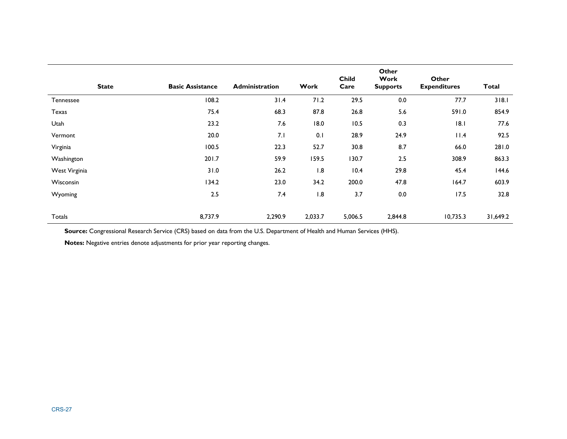| <b>State</b>  | <b>Basic Assistance</b> | <b>Administration</b> | Work    | <b>Child</b><br>Care | Other<br>Work<br><b>Supports</b> | Other<br><b>Expenditures</b> | <b>Total</b> |
|---------------|-------------------------|-----------------------|---------|----------------------|----------------------------------|------------------------------|--------------|
| Tennessee     | 108.2                   | 31.4                  | 71.2    | 29.5                 | 0.0                              | 77.7                         | 318.1        |
| Texas         | 75.4                    | 68.3                  | 87.8    | 26.8                 | 5.6                              | 591.0                        | 854.9        |
| Utah          | 23.2                    | 7.6                   | 18.0    | 10.5                 | 0.3                              | 18.1                         | 77.6         |
| Vermont       | 20.0                    | 7.1                   | 0.1     | 28.9                 | 24.9                             | 11.4                         | 92.5         |
| Virginia      | 100.5                   | 22.3                  | 52.7    | 30.8                 | 8.7                              | 66.0                         | 281.0        |
| Washington    | 201.7                   | 59.9                  | 159.5   | 130.7                | 2.5                              | 308.9                        | 863.3        |
| West Virginia | 31.0                    | 26.2                  | 1.8     | 10.4                 | 29.8                             | 45.4                         | 144.6        |
| Wisconsin     | 134.2                   | 23.0                  | 34.2    | 200.0                | 47.8                             | 164.7                        | 603.9        |
| Wyoming       | 2.5                     | 7.4                   | 1.8     | 3.7                  | 0.0                              | 17.5                         | 32.8         |
| Totals        | 8,737.9                 | 2,290.9               | 2,033.7 | 5,006.5              | 2,844.8                          | 10,735.3                     | 31,649.2     |

**Notes:** Negative entries denote adjustments for prior year reporting changes.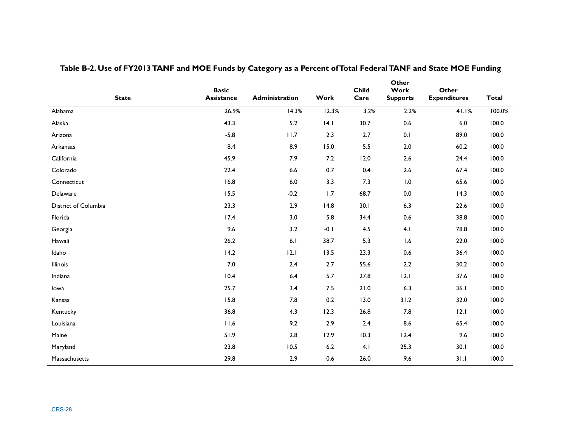| <b>State</b>         | <b>Basic</b><br>Assistance | Administration | Work    | <b>Child</b><br>Care | Other<br>Work<br><b>Supports</b> | Other<br><b>Expenditures</b> | <b>Total</b> |
|----------------------|----------------------------|----------------|---------|----------------------|----------------------------------|------------------------------|--------------|
| Alabama              | 26.9%                      | 14.3%          | 12.3%   | 3.2%                 | 2.2%                             | 41.1%                        | 100.0%       |
| Alaska               | 43.3                       | 5.2            | 4.1     | 30.7                 | 0.6                              | $6.0\,$                      | 100.0        |
| Arizona              | $-5.8$                     | 11.7           | 2.3     | 2.7                  | 0.1                              | 89.0                         | 100.0        |
| Arkansas             | 8.4                        | 8.9            | 15.0    | 5.5                  | $2.0$                            | 60.2                         | 100.0        |
| California           | 45.9                       | 7.9            | 7.2     | 12.0                 | $2.6$                            | 24.4                         | 100.0        |
| Colorado             | 22.4                       | 6.6            | 0.7     | 0.4                  | 2.6                              | 67.4                         | 100.0        |
| Connecticut          | 16.8                       | $6.0\,$        | 3.3     | 7.3                  | $\, 0.0$                         | 65.6                         | 100.0        |
| Delaware             | 15.5                       | $-0.2$         | 1.7     | 68.7                 | $0.0\,$                          | 14.3                         | 100.0        |
| District of Columbia | 23.3                       | 2.9            | 14.8    | 30.1                 | 6.3                              | 22.6                         | 100.0        |
| Florida              | 17.4                       | 3.0            | 5.8     | 34.4                 | $0.6\,$                          | 38.8                         | 100.0        |
| Georgia              | 9.6                        | 3.2            | $-0.1$  | 4.5                  | 4.1                              | 78.8                         | 100.0        |
| Hawaii               | 26.2                       | 6.1            | 38.7    | 5.3                  | 1.6                              | 22.0                         | 100.0        |
| Idaho                | 14.2                       | 12.1           | 13.5    | 23.3                 | $0.6\,$                          | 36.4                         | 100.0        |
| Illinois             | $7.0\,$                    | $2.4$          | 2.7     | 55.6                 | $2.2\,$                          | 30.2                         | 100.0        |
| Indiana              | 10.4                       | 6.4            | 5.7     | 27.8                 | 12.1                             | 37.6                         | 100.0        |
| lowa                 | 25.7                       | 3.4            | 7.5     | 21.0                 | 6.3                              | 36.1                         | 100.0        |
| Kansas               | 15.8                       | 7.8            | 0.2     | 13.0                 | 31.2                             | 32.0                         | 100.0        |
| Kentucky             | 36.8                       | 4.3            | 12.3    | 26.8                 | 7.8                              | 12.1                         | 100.0        |
| Louisiana            | 11.6                       | 9.2            | 2.9     | 2.4                  | 8.6                              | 65.4                         | 100.0        |
| Maine                | 51.9                       | 2.8            | 12.9    | 10.3                 | 12.4                             | 9.6                          | 100.0        |
| Maryland             | 23.8                       | 10.5           | $6.2\,$ | 4.1                  | 25.3                             | 30.1                         | 100.0        |
| Massachusetts        | 29.8                       | 2.9            | 0.6     | 26.0                 | 9.6                              | 31.1                         | 100.0        |

| Table B-2. Use of FY2013 TANF and MOE Funds by Category as a Percent of Total Federal TANF and State MOE Funding |  |
|------------------------------------------------------------------------------------------------------------------|--|
|------------------------------------------------------------------------------------------------------------------|--|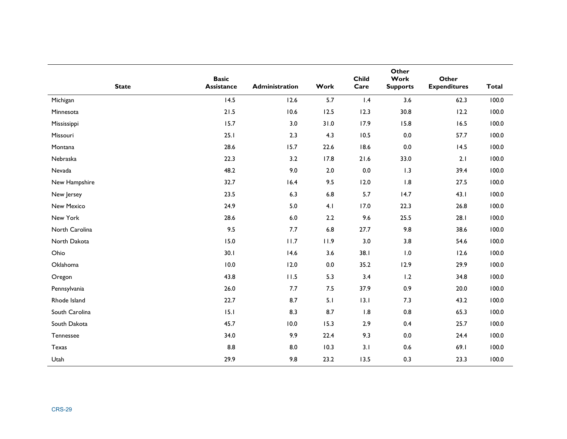|                | <b>Basic</b> |                |         | <b>Child</b> | Other<br>Work   | Other               |              |
|----------------|--------------|----------------|---------|--------------|-----------------|---------------------|--------------|
| <b>State</b>   | Assistance   | Administration | Work    | Care         | <b>Supports</b> | <b>Expenditures</b> | <b>Total</b> |
| Michigan       | 14.5         | 12.6           | $5.7$   | 1.4          | 3.6             | 62.3                | 100.0        |
| Minnesota      | 21.5         | 10.6           | 12.5    | 12.3         | 30.8            | 12.2                | 100.0        |
| Mississippi    | 15.7         | 3.0            | 31.0    | 17.9         | 15.8            | 16.5                | 100.0        |
| Missouri       | 25.1         | 2.3            | 4.3     | 10.5         | $0.0\,$         | 57.7                | 100.0        |
| Montana        | 28.6         | 15.7           | 22.6    | 18.6         | $0.0\,$         | 14.5                | 100.0        |
| Nebraska       | 22.3         | 3.2            | 17.8    | $21.6$       | 33.0            | 2.1                 | 100.0        |
| Nevada         | 48.2         | 9.0            | $2.0$   | $0.0\,$      | 1.3             | 39.4                | 100.0        |
| New Hampshire  | 32.7         | 16.4           | 9.5     | 12.0         | 1.8             | 27.5                | 100.0        |
| New Jersey     | 23.5         | 6.3            | $6.8\,$ | 5.7          | 14.7            | 43.1                | 100.0        |
| New Mexico     | 24.9         | 5.0            | 4.1     | 17.0         | 22.3            | 26.8                | 100.0        |
| New York       | 28.6         | $6.0\,$        | 2.2     | 9.6          | 25.5            | 28.1                | 100.0        |
| North Carolina | 9.5          | 7.7            | $6.8\,$ | 27.7         | 9.8             | 38.6                | 100.0        |
| North Dakota   | 15.0         | 11.7           | 11.9    | 3.0          | 3.8             | 54.6                | 100.0        |
| Ohio           | 30.1         | 14.6           | 3.6     | 38.1         | 1.0             | 12.6                | 100.0        |
| Oklahoma       | 10.0         | 12.0           | 0.0     | 35.2         | 12.9            | 29.9                | 100.0        |
| Oregon         | 43.8         | 11.5           | 5.3     | 3.4          | 1.2             | 34.8                | 100.0        |
| Pennsylvania   | 26.0         | 7.7            | 7.5     | 37.9         | 0.9             | 20.0                | 100.0        |
| Rhode Island   | 22.7         | 8.7            | 5.1     | 13.1         | 7.3             | 43.2                | 100.0        |
| South Carolina | 15.1         | 8.3            | 8.7     | 1.8          | $0.8\,$         | 65.3                | 100.0        |
| South Dakota   | 45.7         | 10.0           | 15.3    | 2.9          | 0.4             | 25.7                | 100.0        |
| Tennessee      | 34.0         | 9.9            | 22.4    | 9.3          | $0.0\,$         | 24.4                | 100.0        |
| <b>Texas</b>   | 8.8          | 8.0            | 10.3    | 3.1          | 0.6             | 69.1                | 100.0        |
| Utah           | 29.9         | 9.8            | 23.2    | 13.5         | 0.3             | 23.3                | 100.0        |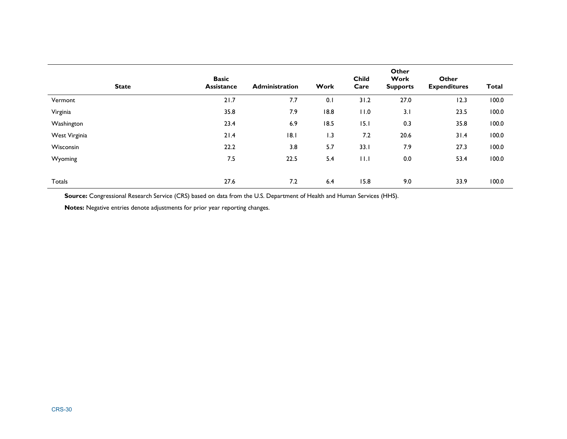| <b>State</b>  | <b>Basic</b><br><b>Assistance</b> | <b>Administration</b> | Work | <b>Child</b><br>Care | Other<br>Work<br><b>Supports</b> | <b>Other</b><br><b>Expenditures</b> | <b>Total</b> |
|---------------|-----------------------------------|-----------------------|------|----------------------|----------------------------------|-------------------------------------|--------------|
| Vermont       | 21.7                              | 7.7                   | 0.1  | 31.2                 | 27.0                             | 12.3                                | 100.0        |
| Virginia      | 35.8                              | 7.9                   | 18.8 | 11.0                 | 3.1                              | 23.5                                | 100.0        |
| Washington    | 23.4                              | 6.9                   | 18.5 | 15.1                 | 0.3                              | 35.8                                | 100.0        |
| West Virginia | 21.4                              | 8.1                   | 1.3  | 7.2                  | 20.6                             | 31.4                                | 100.0        |
| Wisconsin     | 22.2                              | 3.8                   | 5.7  | 33.1                 | 7.9                              | 27.3                                | 100.0        |
| Wyoming       | 7.5                               | 22.5                  | 5.4  | 11.1                 | 0.0                              | 53.4                                | 100.0        |
|               |                                   |                       |      |                      |                                  |                                     |              |
| Totals        | 27.6                              | 7.2                   | 6.4  | 15.8                 | 9.0                              | 33.9                                | 100.0        |

**Notes:** Negative entries denote adjustments for prior year reporting changes.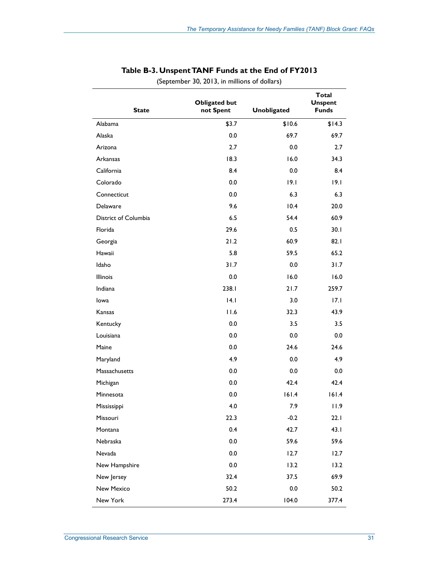| <b>State</b>         | <b>Obligated but</b><br>not Spent | <b>Unobligated</b> | <b>Total</b><br><b>Unspent</b><br><b>Funds</b> |
|----------------------|-----------------------------------|--------------------|------------------------------------------------|
| Alabama              | \$3.7                             | \$10.6             | \$14.3                                         |
| Alaska               | 0.0                               | 69.7               | 69.7                                           |
| Arizona              | 2.7                               | 0.0                | 2.7                                            |
| Arkansas             | 18.3                              | 16.0               | 34.3                                           |
| California           | 8.4                               | 0.0                | 8.4                                            |
| Colorado             | 0.0                               | 19.1               | 9.1                                            |
| Connecticut          | 0.0                               | 6.3                | 6.3                                            |
| Delaware             | 9.6                               | 10.4               | 20.0                                           |
| District of Columbia | 6.5                               | 54.4               | 60.9                                           |
| Florida              | 29.6                              | 0.5                | 30.1                                           |
| Georgia              | 21.2                              | 60.9               | 82.1                                           |
| Hawaii               | 5.8                               | 59.5               | 65.2                                           |
| Idaho                | 31.7                              | 0.0                | 31.7                                           |
| <b>Illinois</b>      | 0.0                               | 16.0               | 16.0                                           |
| Indiana              | 238.1                             | 21.7               | 259.7                                          |
| Iowa                 | 4.1                               | 3.0                | 17.1                                           |
| Kansas               | 11.6                              | 32.3               | 43.9                                           |
| Kentucky             | 0.0                               | 3.5                | 3.5                                            |
| Louisiana            | 0.0                               | 0.0                | 0.0                                            |
| Maine                | 0.0                               | 24.6               | 24.6                                           |
| Maryland             | 4.9                               | 0.0                | 4.9                                            |
| Massachusetts        | 0.0                               | 0.0                | 0.0                                            |
| Michigan             | 0.0                               | 42.4               | 42.4                                           |
| Minnesota            | 0.0                               | 161.4              | 161.4                                          |
| Mississippi          | 4.0                               | 7.9                | 11.9                                           |
| Missouri             | 22.3                              | $-0.2$             | 22.1                                           |
| Montana              | 0.4                               | 42.7               | 43.1                                           |
| Nebraska             | $0.0\,$                           | 59.6               | 59.6                                           |
| Nevada               | $0.0\,$                           | 12.7               | 12.7                                           |
| New Hampshire        | 0.0                               | 13.2               | 13.2                                           |
| New Jersey           | 32.4                              | 37.5               | 69.9                                           |
| <b>New Mexico</b>    | 50.2                              | 0.0                | 50.2                                           |
| New York             | 273.4                             | 104.0              | 377.4                                          |

#### **Table B-3. Unspent TANF Funds at the End of FY2013**

(September 30, 2013, in millions of dollars)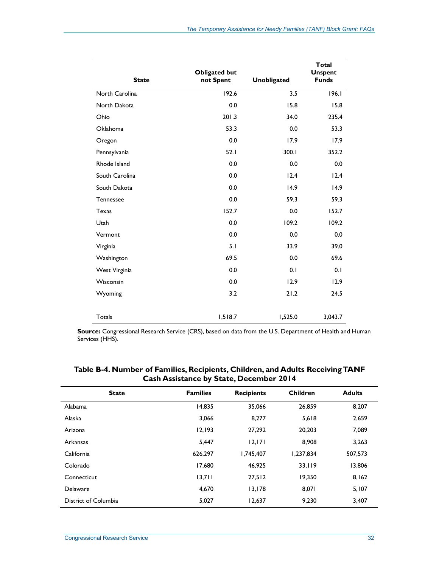| <b>State</b>    | <b>Obligated but</b><br>not Spent | <b>Unobligated</b> | <b>Total</b><br><b>Unspent</b><br><b>Funds</b> |
|-----------------|-----------------------------------|--------------------|------------------------------------------------|
| North Carolina  | 192.6                             | 3.5                | 196.1                                          |
| North Dakota    | 0.0                               | 15.8               | 15.8                                           |
| Ohio            | 201.3                             | 34.0               | 235.4                                          |
| <b>Oklahoma</b> | 53.3                              | 0.0                | 53.3                                           |
| Oregon          | 0.0                               | 17.9               | 17.9                                           |
| Pennsylvania    | 52.1                              | 300.1              | 352.2                                          |
| Rhode Island    | 0.0                               | 0.0                | 0.0                                            |
| South Carolina  | 0.0                               | 12.4               | 12.4                                           |
| South Dakota    | 0.0                               | 14.9               | 14.9                                           |
| Tennessee       | 0.0                               | 59.3               | 59.3                                           |
| <b>Texas</b>    | 152.7                             | 0.0                | 152.7                                          |
| Utah            | 0.0                               | 109.2              | 109.2                                          |
| Vermont         | 0.0                               | 0.0                | 0.0                                            |
| Virginia        | 5.1                               | 33.9               | 39.0                                           |
| Washington      | 69.5                              | 0.0                | 69.6                                           |
| West Virginia   | 0.0                               | 0.1                | 0.1                                            |
| Wisconsin       | 0.0                               | 12.9               | 12.9                                           |
| Wyoming         | 3.2                               | 21.2               | 24.5                                           |
| Totals          | 1,518.7                           | 1,525.0            | 3,043.7                                        |

| <b>State</b>         | <b>Families</b> | <b>Recipients</b> | <b>Children</b> | <b>Adults</b> |
|----------------------|-----------------|-------------------|-----------------|---------------|
| Alabama              | 14,835          | 35,066            | 26,859          | 8,207         |
| Alaska               | 3,066           | 8,277             | 5,618           | 2,659         |
| Arizona              | 12,193          | 27,292            | 20,203          | 7.089         |
| Arkansas             | 5,447           | 12,171            | 8,908           | 3,263         |
| California           | 626.297         | 1.745.407         | 1.237.834       | 507.573       |
| Colorado             | 17,680          | 46,925            | 33,119          | 13,806        |
| Connecticut          | 13,711          | 27,512            | 19,350          | 8,162         |
| Delaware             | 4,670           | 13,178            | 8,071           | 5,107         |
| District of Columbia | 5,027           | 12,637            | 9,230           | 3,407         |

**Table B-4. Number of Families, Recipients, Children, and Adults Receiving TANF Cash Assistance by State, December 2014**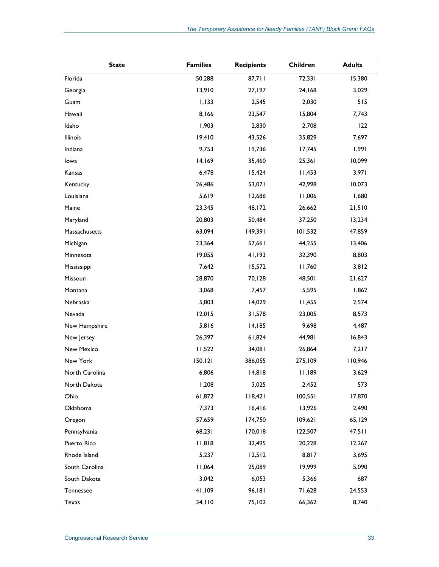| <b>State</b>   | <b>Families</b> | <b>Recipients</b> | Children | <b>Adults</b> |
|----------------|-----------------|-------------------|----------|---------------|
| Florida        | 50,288          | 87,711            | 72,331   | 15,380        |
| Georgia        | 13,910          | 27,197            | 24,168   | 3,029         |
| Guam           | 1,133           | 2,545             | 2,030    | 515           |
| Hawaii         | 8,166           | 23,547            | 15,804   | 7,743         |
| Idaho          | 1,903           | 2,830             | 2,708    | 122           |
| Illinois       | 19,410          | 43,526            | 35,829   | 7,697         |
| Indiana        | 9,753           | 19,736            | 17,745   | 1,991         |
| lowa           | 14,169          | 35,460            | 25,361   | 10,099        |
| Kansas         | 6,478           | 15,424            | 11,453   | 3,971         |
| Kentucky       | 26,486          | 53,071            | 42,998   | 10,073        |
| Louisiana      | 5,619           | 12,686            | 11,006   | 1,680         |
| Maine          | 23,345          | 48,172            | 26,662   | 21,510        |
| Maryland       | 20,803          | 50,484            | 37,250   | 13,234        |
| Massachusetts  | 63,094          | 149,391           | 101,532  | 47,859        |
| Michigan       | 23,364          | 57,661            | 44,255   | 13,406        |
| Minnesota      | 19,055          | 41,193            | 32,390   | 8,803         |
| Mississippi    | 7,642           | 15,572            | 11,760   | 3,812         |
| Missouri       | 28,870          | 70,128            | 48,501   | 21,627        |
| Montana        | 3,068           | 7,457             | 5,595    | 1,862         |
| Nebraska       | 5,803           | 14,029            | 11,455   | 2,574         |
| Nevada         | 12,015          | 31,578            | 23,005   | 8,573         |
| New Hampshire  | 5,816           | 14,185            | 9,698    | 4,487         |
| New Jersey     | 26,397          | 61,824            | 44,981   | 16,843        |
| New Mexico     | 11,522          | 34,081            | 26,864   | 7,217         |
| New York       | 150, 121        | 386,055           | 275,109  | 110,946       |
| North Carolina | 6,806           | 14,818            | 11,189   | 3,629         |
| North Dakota   | 1,208           | 3,025             | 2,452    | 573           |
| Ohio           | 61,872          | 118,421           | 100,551  | 17,870        |
| Oklahoma       | 7,373           | 16,416            | 13,926   | 2,490         |
| Oregon         | 57,659          | 174,750           | 109,621  | 65,129        |
| Pennsylvania   | 68,231          | 170,018           | 122,507  | 47,511        |
| Puerto Rico    | 11,818          | 32,495            | 20,228   | 12,267        |
| Rhode Island   | 5,237           | 12,512            | 8,817    | 3,695         |
| South Carolina | 11,064          | 25,089            | 19,999   | 5,090         |
| South Dakota   | 3,042           | 6,053             | 5,366    | 687           |
| Tennessee      | 41,109          | 96,181            | 71,628   | 24,553        |
| Texas          | 34,110          | 75,102            | 66,362   | 8,740         |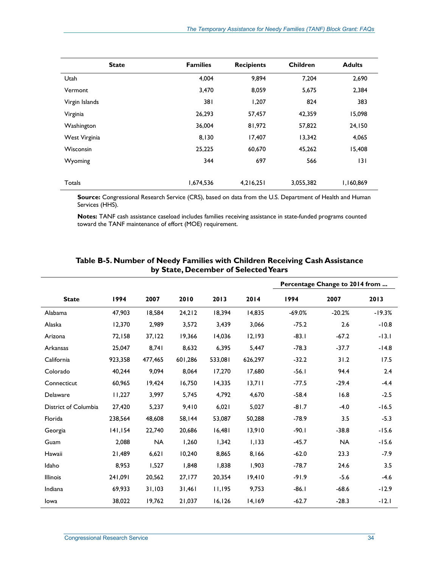| <b>State</b>   | <b>Families</b> | <b>Recipients</b> | <b>Children</b> | <b>Adults</b> |
|----------------|-----------------|-------------------|-----------------|---------------|
| Utah           | 4,004           | 9,894             | 7.204           | 2,690         |
| Vermont        | 3,470           | 8,059             | 5,675           | 2,384         |
| Virgin Islands | 381             | 1,207             | 824             | 383           |
| Virginia       | 26,293          | 57,457            | 42,359          | 15,098        |
| Washington     | 36,004          | 81,972            | 57,822          | 24,150        |
| West Virginia  | 8,130           | 17,407            | 13,342          | 4,065         |
| Wisconsin      | 25,225          | 60,670            | 45,262          | 15,408        |
| Wyoming        | 344             | 697               | 566             | 3             |
| Totals         | 1,674,536       | 4,216,251         | 3,055,382       | 1,160,869     |

**Notes:** TANF cash assistance caseload includes families receiving assistance in state-funded programs counted toward the TANF maintenance of effort (MOE) requirement.

|                      |         |           |         |         |         | Percentage Change to 2014 from |           |          |
|----------------------|---------|-----------|---------|---------|---------|--------------------------------|-----------|----------|
| <b>State</b>         | 1994    | 2007      | 2010    | 2013    | 2014    | 1994                           | 2007      | 2013     |
| Alabama              | 47,903  | 18,584    | 24,212  | 18,394  | 14,835  | $-69.0%$                       | $-20.2%$  | $-19.3%$ |
| Alaska               | 12,370  | 2,989     | 3,572   | 3,439   | 3,066   | $-75.2$                        | 2.6       | $-10.8$  |
| Arizona              | 72,158  | 37,122    | 19,366  | 14,036  | 12,193  | $-83.1$                        | $-67.2$   | $-13.1$  |
| Arkansas             | 25,047  | 8,741     | 8,632   | 6,395   | 5,447   | $-78.3$                        | $-37.7$   | $-14.8$  |
| California           | 923,358 | 477,465   | 601,286 | 533,081 | 626,297 | $-32.2$                        | 31.2      | 17.5     |
| Colorado             | 40,244  | 9,094     | 8,064   | 17,270  | 17,680  | $-56.1$                        | 94.4      | 2.4      |
| Connecticut          | 60,965  | 19,424    | 16,750  | 14,335  | 13,711  | $-77.5$                        | $-29.4$   | $-4.4$   |
| Delaware             | 11,227  | 3,997     | 5,745   | 4,792   | 4,670   | $-58.4$                        | 16.8      | $-2.5$   |
| District of Columbia | 27,420  | 5,237     | 9,410   | 6,021   | 5,027   | $-81.7$                        | $-4.0$    | $-16.5$  |
| Florida              | 238,564 | 48,608    | 58,144  | 53,087  | 50,288  | $-78.9$                        | 3.5       | $-5.3$   |
| Georgia              | 141,154 | 22,740    | 20,686  | 16,481  | 13,910  | $-90.1$                        | $-38.8$   | $-15.6$  |
| Guam                 | 2,088   | <b>NA</b> | 1,260   | 1,342   | 1,133   | $-45.7$                        | <b>NA</b> | $-15.6$  |
| Hawaii               | 21,489  | 6,621     | 10,240  | 8,865   | 8,166   | $-62.0$                        | 23.3      | $-7.9$   |
| Idaho                | 8,953   | 1,527     | 1,848   | 1,838   | 1,903   | $-78.7$                        | 24.6      | 3.5      |
| <b>Illinois</b>      | 190,142 | 20,562    | 27,177  | 20,354  | 19,410  | $-91.9$                        | $-5.6$    | $-4.6$   |
| Indiana              | 69,933  | 31,103    | 31,461  | 11,195  | 9,753   | $-86.1$                        | $-68.6$   | $-12.9$  |
| lowa                 | 38,022  | 19,762    | 21,037  | 16, 126 | 14,169  | $-62.7$                        | $-28.3$   | $-12.1$  |

#### **Table B-5. Number of Needy Families with Children Receiving Cash Assistance by State, December of Selected Years**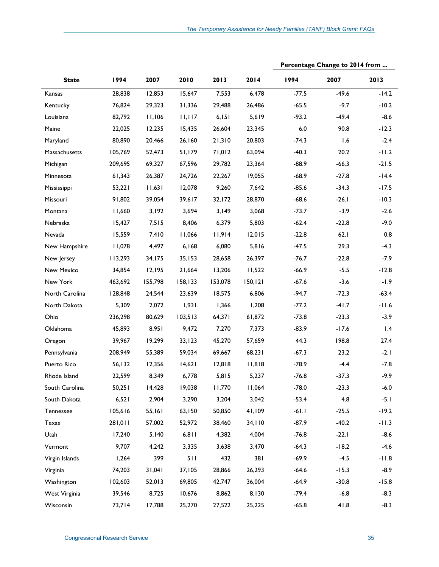|                |         |         |         |         |          | Percentage Change to 2014 from |         |         |
|----------------|---------|---------|---------|---------|----------|--------------------------------|---------|---------|
| <b>State</b>   | 1994    | 2007    | 2010    | 2013    | 2014     | 1994                           | 2007    | 2013    |
| Kansas         | 28,838  | 12,853  | 15,647  | 7,553   | 6,478    | $-77.5$                        | $-49.6$ | $-14.2$ |
| Kentucky       | 76,824  | 29,323  | 31,336  | 29,488  | 26,486   | $-65.5$                        | $-9.7$  | $-10.2$ |
| Louisiana      | 82,792  | 11,106  | 11,117  | 6, 151  | 5,619    | $-93.2$                        | $-49.4$ | $-8.6$  |
| Maine          | 22,025  | 12,235  | 15,435  | 26,604  | 23,345   | $6.0\,$                        | 90.8    | $-12.3$ |
| Maryland       | 80,890  | 20,466  | 26,160  | 21,310  | 20,803   | $-74.3$                        | 1.6     | $-2.4$  |
| Massachusetts  | 105,769 | 52,473  | 51,179  | 71,012  | 63,094   | $-40.3$                        | 20.2    | $-11.2$ |
| Michigan       | 209,695 | 69,327  | 67,596  | 29,782  | 23,364   | $-88.9$                        | $-66.3$ | $-21.5$ |
| Minnesota      | 61,343  | 26,387  | 24,726  | 22,267  | 19,055   | $-68.9$                        | $-27.8$ | $-14.4$ |
| Mississippi    | 53,221  | 11,631  | 12,078  | 9,260   | 7,642    | $-85.6$                        | $-34.3$ | $-17.5$ |
| Missouri       | 91,802  | 39,054  | 39,617  | 32,172  | 28,870   | $-68.6$                        | $-26.1$ | $-10.3$ |
| Montana        | 11,660  | 3,192   | 3,694   | 3,149   | 3,068    | $-73.7$                        | $-3.9$  | $-2.6$  |
| Nebraska       | 15,427  | 7,515   | 8,406   | 6,379   | 5,803    | $-62.4$                        | $-22.8$ | $-9.0$  |
| Nevada         | 15,559  | 7,410   | 11,066  | 11,914  | 12,015   | $-22.8$                        | 62.1    | 0.8     |
| New Hampshire  | 11,078  | 4,497   | 6,168   | 6,080   | 5,816    | $-47.5$                        | 29.3    | $-4.3$  |
| New Jersey     | 113,293 | 34,175  | 35,153  | 28,658  | 26,397   | $-76.7$                        | $-22.8$ | $-7.9$  |
| New Mexico     | 34,854  | 12,195  | 21,664  | 13,206  | 11,522   | $-66.9$                        | $-5.5$  | $-12.8$ |
| New York       | 463,692 | 155,798 | 158,133 | 153,078 | 150, 121 | $-67.6$                        | $-3.6$  | $-1.9$  |
| North Carolina | 128,848 | 24,544  | 23,639  | 18,575  | 6,806    | $-94.7$                        | $-72.3$ | $-63.4$ |
| North Dakota   | 5,309   | 2,072   | 1,931   | 1,366   | 1,208    | $-77.2$                        | $-41.7$ | $-11.6$ |
| Ohio           | 236,298 | 80,629  | 103,513 | 64,371  | 61,872   | $-73.8$                        | $-23.3$ | $-3.9$  |
| Oklahoma       | 45,893  | 8,951   | 9,472   | 7,270   | 7,373    | $-83.9$                        | $-17.6$ | 1.4     |
| Oregon         | 39,967  | 19,299  | 33,123  | 45,270  | 57,659   | 44.3                           | 198.8   | 27.4    |
| Pennsylvania   | 208,949 | 55,389  | 59,034  | 69,667  | 68,231   | $-67.3$                        | 23.2    | $-2.1$  |
| Puerto Rico    | 56,132  | 12,356  | 14,621  | 12,818  | 11,818   | $-78.9$                        | $-4.4$  | $-7.8$  |
| Rhode Island   | 22,599  | 8,349   | 6,778   | 5,815   | 5,237    | $-76.8$                        | $-37.3$ | $-9.9$  |
| South Carolina | 50,251  | 14,428  | 19,038  | 11,770  | 11,064   | $-78.0$                        | $-23.3$ | $-6.0$  |
| South Dakota   | 6,521   | 2,904   | 3,290   | 3,204   | 3,042    | $-53.4$                        | 4.8     | $-5.1$  |
| Tennessee      | 105,616 | 55,161  | 63,150  | 50,850  | 41,109   | $-61.1$                        | $-25.5$ | $-19.2$ |
| Texas          | 110,182 | 57,002  | 52,972  | 38,460  | 34,110   | $-87.9$                        | $-40.2$ | $-11.3$ |
| Utah           | 17,240  | 5,140   | 6,811   | 4,382   | 4,004    | $-76.8$                        | $-22.1$ | $-8.6$  |
| Vermont        | 9,707   | 4,242   | 3,335   | 3,638   | 3,470    | $-64.3$                        | $-18.2$ | $-4.6$  |
| Virgin Islands | 1,264   | 399     | 511     | 432     | 381      | $-69.9$                        | $-4.5$  | $-11.8$ |
| Virginia       | 74,203  | 31,041  | 37,105  | 28,866  | 26,293   | $-64.6$                        | $-15.3$ | $-8.9$  |
| Washington     | 102,603 | 52,013  | 69,805  | 42,747  | 36,004   | $-64.9$                        | $-30.8$ | $-15.8$ |
| West Virginia  | 39,546  | 8,725   | 10,676  | 8,862   | 8,130    | $-79.4$                        | $-6.8$  | $-8.3$  |
| Wisconsin      | 73,714  | 17,788  | 25,270  | 27,522  | 25,225   | $-65.8$                        | 41.8    | $-8.3$  |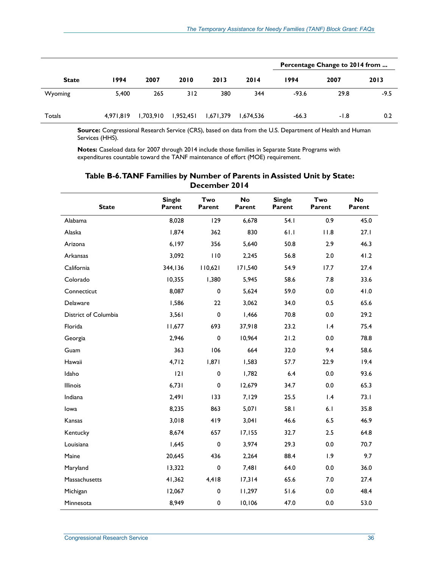|              |           |           |           |           | Percentage Change to 2014 from |         |      |        |
|--------------|-----------|-----------|-----------|-----------|--------------------------------|---------|------|--------|
| <b>State</b> | 1994      | 2007      | 2010      | 2013      | 2014                           | 1994    | 2007 | 2013   |
| Wyoming      | 5,400     | 265       | 312       | 380       | 344                            | $-93.6$ | 29.8 | $-9.5$ |
| Totals       | 4,971,819 | 1,703,910 | 1,952,451 | 1,671,379 | 1,674,536                      | $-66.3$ | -1.8 | 0.2    |

**Notes:** Caseload data for 2007 through 2014 include those families in Separate State Programs with expenditures countable toward the TANF maintenance of effort (MOE) requirement.

| <b>State</b>         | <b>Single</b><br>Parent | Two<br>Parent | <b>No</b><br>Parent | <b>Single</b><br>Parent | Two<br>Parent | <b>No</b><br>Parent |
|----------------------|-------------------------|---------------|---------------------|-------------------------|---------------|---------------------|
| Alabama              | 8,028                   | 129           | 6,678               | 54.1                    | 0.9           | 45.0                |
| Alaska               | 1,874                   | 362           | 830                 | 61.1                    | 11.8          | 27.1                |
| Arizona              | 6,197                   | 356           | 5,640               | 50.8                    | 2.9           | 46.3                |
| Arkansas             | 3,092                   | 110           | 2,245               | 56.8                    | 2.0           | 41.2                |
| California           | 344,136                 | 110,621       | 171,540             | 54.9                    | 17.7          | 27.4                |
| Colorado             | 10,355                  | 1,380         | 5,945               | 58.6                    | 7.8           | 33.6                |
| Connecticut          | 8,087                   | $\pmb{0}$     | 5,624               | 59.0                    | 0.0           | 41.0                |
| Delaware             | 1,586                   | 22            | 3,062               | 34.0                    | 0.5           | 65.6                |
| District of Columbia | 3,561                   | $\pmb{0}$     | 1,466               | 70.8                    | 0.0           | 29.2                |
| Florida              | 11,677                  | 693           | 37,918              | 23.2                    | 1.4           | 75.4                |
| Georgia              | 2,946                   | $\mathbf 0$   | 10,964              | 21.2                    | 0.0           | 78.8                |
| Guam                 | 363                     | 106           | 664                 | 32.0                    | 9.4           | 58.6                |
| Hawaii               | 4,712                   | 1,871         | 1,583               | 57.7                    | 22.9          | 19.4                |
| Idaho                | 121                     | 0             | 1,782               | 6.4                     | 0.0           | 93.6                |
| Illinois             | 6,731                   | $\mathbf 0$   | 12,679              | 34.7                    | 0.0           | 65.3                |
| Indiana              | 2,491                   | 133           | 7,129               | 25.5                    | 1.4           | 73.1                |
| lowa                 | 8,235                   | 863           | 5,071               | 58.I                    | 6.1           | 35.8                |
| Kansas               | 3,018                   | 419           | 3,041               | 46.6                    | 6.5           | 46.9                |
| Kentucky             | 8,674                   | 657           | 17,155              | 32.7                    | 2.5           | 64.8                |
| Louisiana            | 1,645                   | $\pmb{0}$     | 3,974               | 29.3                    | 0.0           | 70.7                |
| Maine                | 20,645                  | 436           | 2,264               | 88.4                    | 1.9           | 9.7                 |
| Maryland             | 13,322                  | $\pmb{0}$     | 7,481               | 64.0                    | 0.0           | 36.0                |
| Massachusetts        | 41,362                  | 4,418         | 17,314              | 65.6                    | 7.0           | 27.4                |
| Michigan             | 12,067                  | 0             | 11,297              | 51.6                    | 0.0           | 48.4                |
| Minnesota            | 8,949                   | 0             | 10,106              | 47.0                    | 0.0           | 53.0                |

#### **Table B-6. TANF Families by Number of Parents in Assisted Unit by State: December 2014**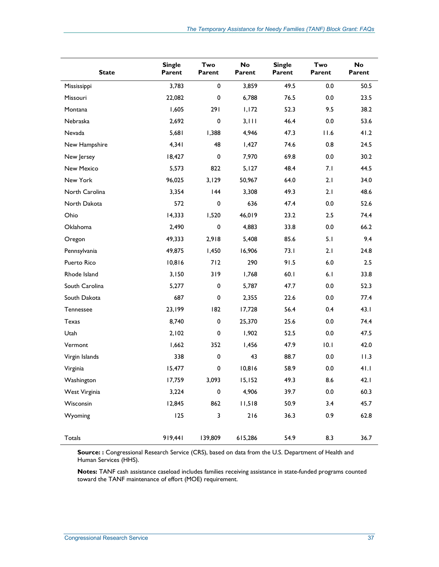| <b>State</b>   | <b>Single</b><br>Parent | Two<br>Parent | No<br>Parent | <b>Single</b><br>Parent | Two<br>Parent | <b>No</b><br>Parent |
|----------------|-------------------------|---------------|--------------|-------------------------|---------------|---------------------|
| Mississippi    | 3,783                   | 0             | 3,859        | 49.5                    | 0.0           | 50.5                |
| Missouri       | 22,082                  | 0             | 6,788        | 76.5                    | 0.0           | 23.5                |
| Montana        | 1,605                   | 291           | 1,172        | 52.3                    | 9.5           | 38.2                |
| Nebraska       | 2,692                   | 0             | 3, 111       | 46.4                    | 0.0           | 53.6                |
| Nevada         | 5,681                   | 1,388         | 4,946        | 47.3                    | 11.6          | 41.2                |
| New Hampshire  | 4,341                   | 48            | 1,427        | 74.6                    | 0.8           | 24.5                |
| New Jersey     | 18,427                  | 0             | 7,970        | 69.8                    | 0.0           | 30.2                |
| New Mexico     | 5,573                   | 822           | 5,127        | 48.4                    | 7.1           | 44.5                |
| New York       | 96,025                  | 3,129         | 50,967       | 64.0                    | 2.1           | 34.0                |
| North Carolina | 3,354                   | 44            | 3,308        | 49.3                    | 2.1           | 48.6                |
| North Dakota   | 572                     | 0             | 636          | 47.4                    | 0.0           | 52.6                |
| Ohio           | 14,333                  | 1,520         | 46,019       | 23.2                    | 2.5           | 74.4                |
| Oklahoma       | 2,490                   | $\pmb{0}$     | 4,883        | 33.8                    | 0.0           | 66.2                |
| Oregon         | 49,333                  | 2,918         | 5,408        | 85.6                    | 5.1           | 9.4                 |
| Pennsylvania   | 49,875                  | 1,450         | 16,906       | 73.1                    | 2.1           | 24.8                |
| Puerto Rico    | 10,816                  | 712           | 290          | 91.5                    | $6.0\,$       | 2.5                 |
| Rhode Island   | 3,150                   | 319           | 1,768        | 60.1                    | 6.1           | 33.8                |
| South Carolina | 5,277                   | 0             | 5,787        | 47.7                    | 0.0           | 52.3                |
| South Dakota   | 687                     | 0             | 2,355        | 22.6                    | 0.0           | 77.4                |
| Tennessee      | 23,199                  | 182           | 17,728       | 56.4                    | 0.4           | 43.1                |
| Texas          | 8,740                   | $\pmb{0}$     | 25,370       | 25.6                    | 0.0           | 74.4                |
| Utah           | 2,102                   | 0             | 1,902        | 52.5                    | 0.0           | 47.5                |
| Vermont        | 1,662                   | 352           | 1,456        | 47.9                    | 10.1          | 42.0                |
| Virgin Islands | 338                     | 0             | 43           | 88.7                    | 0.0           | 11.3                |
| Virginia       | 15,477                  | 0             | 10,816       | 58.9                    | 0.0           | 41.1                |
| Washington     | 17,759                  | 3,093         | 15,152       | 49.3                    | 8.6           | 42.1                |
| West Virginia  | 3,224                   | 0             | 4,906        | 39.7                    | 0.0           | 60.3                |
| Wisconsin      | 12,845                  | 862           | 11,518       | 50.9                    | 3.4           | 45.7                |
| Wyoming        | 125                     | 3             | 216          | 36.3                    | 0.9           | 62.8                |
| Totals         | 919,441                 | 139,809       | 615,286      | 54.9                    | 8.3           | 36.7                |

**Notes:** TANF cash assistance caseload includes families receiving assistance in state-funded programs counted toward the TANF maintenance of effort (MOE) requirement.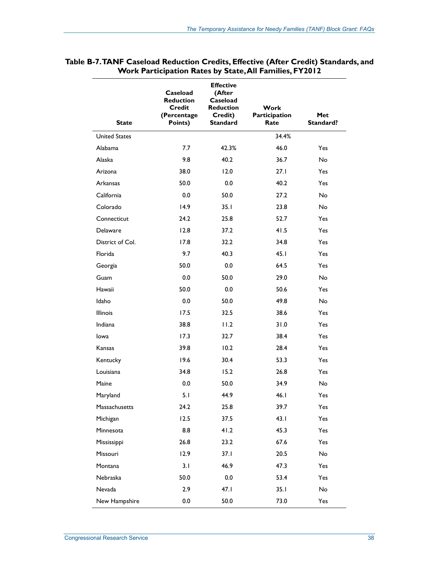| <b>State</b>         | Caseload<br><b>Reduction</b><br><b>Credit</b><br>(Percentage<br>Points) | <b>Effective</b><br>(After<br>Caseload<br><b>Reduction</b><br>Credit)<br><b>Standard</b> | Work<br>Participation<br>Rate | Met<br>Standard? |
|----------------------|-------------------------------------------------------------------------|------------------------------------------------------------------------------------------|-------------------------------|------------------|
| <b>United States</b> |                                                                         |                                                                                          | 34.4%                         |                  |
| Alabama              | 7.7                                                                     | 42.3%                                                                                    | 46.0                          | Yes              |
| Alaska               | 9.8                                                                     | 40.2                                                                                     | 36.7                          | <b>No</b>        |
| Arizona              | 38.0                                                                    | 12.0                                                                                     | 27.1                          | Yes              |
| Arkansas             | 50.0                                                                    | 0.0                                                                                      | 40.2                          | Yes              |
| California           | 0.0                                                                     | 50.0                                                                                     | 27.2                          | <b>No</b>        |
| Colorado             | 14.9                                                                    | 35.1                                                                                     | 23.8                          | <b>No</b>        |
| Connecticut          | 24.2                                                                    | 25.8                                                                                     | 52.7                          | Yes              |
| <b>Delaware</b>      | 12.8                                                                    | 37.2                                                                                     | 41.5                          | Yes              |
| District of Col.     | 17.8                                                                    | 32.2                                                                                     | 34.8                          | Yes              |
| Florida              | 9.7                                                                     | 40.3                                                                                     | 45.1                          | Yes              |
| Georgia              | 50.0                                                                    | 0.0                                                                                      | 64.5                          | Yes              |
| Guam                 | 0.0                                                                     | 50.0                                                                                     | 29.0                          | <b>No</b>        |
| Hawaii               | 50.0                                                                    | 0.0                                                                                      | 50.6                          | Yes              |
| Idaho                | 0.0                                                                     | 50.0                                                                                     | 49.8                          | <b>No</b>        |
| <b>Illinois</b>      | 17.5                                                                    | 32.5                                                                                     | 38.6                          | Yes              |
| Indiana              | 38.8                                                                    | 11.2                                                                                     | 31.0                          | Yes              |
| lowa                 | 17.3                                                                    | 32.7                                                                                     | 38.4                          | <b>Yes</b>       |
| Kansas               | 39.8                                                                    | 10.2                                                                                     | 28.4                          | Yes              |
| Kentucky             | 19.6                                                                    | 30.4                                                                                     | 53.3                          | Yes              |
| Louisiana            | 34.8                                                                    | 15.2                                                                                     | 26.8                          | <b>Yes</b>       |
| Maine                | 0.0                                                                     | 50.0                                                                                     | 34.9                          | <b>No</b>        |
| Maryland             | 5.1                                                                     | 44.9                                                                                     | 46.1                          | Yes              |
| Massachusetts        | 24.2                                                                    | 25.8                                                                                     | 39.7                          | Yes              |
| Michigan             | 12.5                                                                    | 37.5                                                                                     | 43.1                          | Yes              |
| Minnesota            | 8.8                                                                     | 41.2                                                                                     | 45.3                          | Yes              |
| Mississippi          | 26.8                                                                    | 23.2                                                                                     | 67.6                          | Yes              |
| Missouri             | 12.9                                                                    | 37.1                                                                                     | 20.5                          | No               |
| Montana              | 3.1                                                                     | 46.9                                                                                     | 47.3                          | Yes              |
| Nebraska             | 50.0                                                                    | 0.0                                                                                      | 53.4                          | Yes              |
| Nevada               | 2.9                                                                     | 47.1                                                                                     | 35.1                          | No               |
| New Hampshire        | $0.0\,$                                                                 | 50.0                                                                                     | 73.0                          | Yes              |

| Table B-7.TANF Caseload Reduction Credits, Effective (After Credit) Standards, and |  |
|------------------------------------------------------------------------------------|--|
| <b>Work Participation Rates by State, All Families, FY2012</b>                     |  |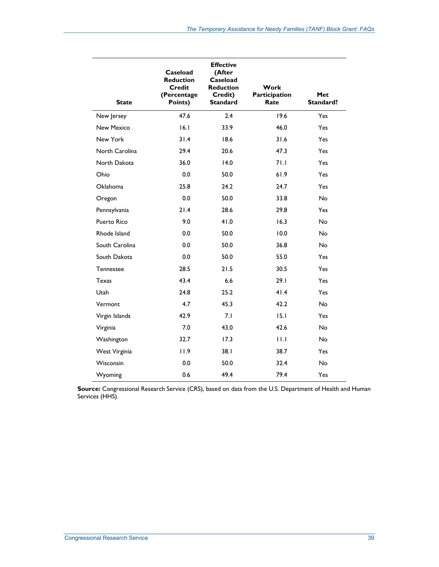| <b>State</b>      | Caseload<br><b>Reduction</b><br><b>Credit</b><br>(Percentage<br>Points) | <b>Effective</b><br>(After<br>Caseload<br><b>Reduction</b><br>Credit)<br><b>Standard</b> | Work<br>Participation<br>Rate | Met<br>Standard? |
|-------------------|-------------------------------------------------------------------------|------------------------------------------------------------------------------------------|-------------------------------|------------------|
| New Jersey        | 47.6                                                                    | 2.4                                                                                      | 19.6                          | Yes              |
| <b>New Mexico</b> | 16.1                                                                    | 33.9                                                                                     | 46.0                          | Yes              |
| New York          | 31.4                                                                    | 18.6                                                                                     | 31.6                          | Yes              |
| North Carolina    | 29.4                                                                    | 20.6                                                                                     | 47.3                          | Yes              |
| North Dakota      | 36.0                                                                    | 14.0                                                                                     | 71.1                          | Yes              |
| Ohio              | 0.0                                                                     | 50.0                                                                                     | 61.9                          | Yes              |
| Oklahoma          | 25.8                                                                    | 24.2                                                                                     | 24.7                          | Yes              |
| Oregon            | 0.0                                                                     | 50.0                                                                                     | 33.8                          | <b>No</b>        |
| Pennsylvania      | 21.4                                                                    | 28.6                                                                                     | 29.8                          | Yes              |
| Puerto Rico       | 9.0                                                                     | 41.0                                                                                     | 16.3                          | <b>No</b>        |
| Rhode Island      | 0.0                                                                     | 50.0                                                                                     | 10.0                          | <b>No</b>        |
| South Carolina    | 0.0                                                                     | 50.0                                                                                     | 36.8                          | No               |
| South Dakota      | 0.0                                                                     | 50.0                                                                                     | 55.0                          | Yes              |
| <b>Tennessee</b>  | 28.5                                                                    | 21.5                                                                                     | 30.5                          | Yes              |
| Texas             | 43.4                                                                    | 6.6                                                                                      | 29.1                          | Yes              |
| Utah              | 24.8                                                                    | 25.2                                                                                     | 41.4                          | Yes              |
| Vermont           | 4.7                                                                     | 45.3                                                                                     | 42.2                          | No               |
| Virgin Islands    | 42.9                                                                    | 7.1                                                                                      | 15.1                          | Yes              |
| Virginia          | 7.0                                                                     | 43.0                                                                                     | 42.6                          | <b>No</b>        |
| Washington        | 32.7                                                                    | 17.3                                                                                     | 11.1                          | <b>No</b>        |
| West Virginia     | 11.9                                                                    | 38.1                                                                                     | 38.7                          | Yes              |
| Wisconsin         | 0.0                                                                     | 50.0                                                                                     | 32.4                          | <b>No</b>        |
| Wyoming           | 0.6                                                                     | 49.4                                                                                     | 79.4                          | Yes              |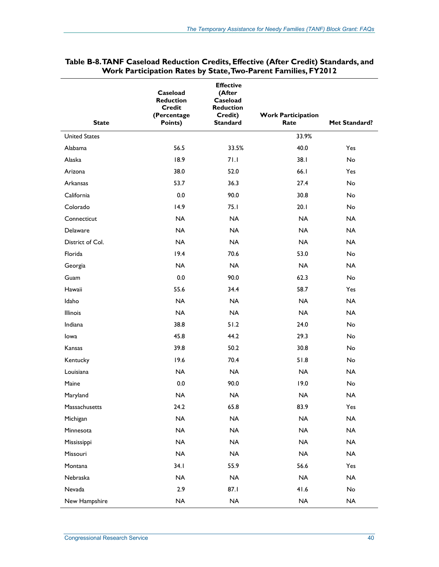| <b>State</b>         | Caseload<br><b>Reduction</b><br><b>Credit</b><br>(Percentage<br>Points) | <b>Effective</b><br>(After<br>Caseload<br><b>Reduction</b><br>Credit)<br><b>Standard</b> | <b>Work Participation</b><br>Rate | Met Standard? |
|----------------------|-------------------------------------------------------------------------|------------------------------------------------------------------------------------------|-----------------------------------|---------------|
| <b>United States</b> |                                                                         |                                                                                          | 33.9%                             |               |
| Alabama              | 56.5                                                                    | 33.5%                                                                                    | 40.0                              | Yes           |
| Alaska               | 18.9                                                                    | 71.1                                                                                     | 38.1                              | No            |
| Arizona              | 38.0                                                                    | 52.0                                                                                     | 66.1                              | Yes           |
| Arkansas             | 53.7                                                                    | 36.3                                                                                     | 27.4                              | No            |
| California           | 0.0                                                                     | 90.0                                                                                     | 30.8                              | No            |
| Colorado             | 14.9                                                                    | 75.1                                                                                     | 20.1                              | <b>No</b>     |
| Connecticut          | <b>NA</b>                                                               | <b>NA</b>                                                                                | <b>NA</b>                         | <b>NA</b>     |
| Delaware             | <b>NA</b>                                                               | <b>NA</b>                                                                                | <b>NA</b>                         | <b>NA</b>     |
| District of Col.     | <b>NA</b>                                                               | <b>NA</b>                                                                                | <b>NA</b>                         | <b>NA</b>     |
| Florida              | 19.4                                                                    | 70.6                                                                                     | 53.0                              | <b>No</b>     |
| Georgia              | <b>NA</b>                                                               | <b>NA</b>                                                                                | <b>NA</b>                         | <b>NA</b>     |
| Guam                 | 0.0                                                                     | 90.0                                                                                     | 62.3                              | <b>No</b>     |
| Hawaii               | 55.6                                                                    | 34.4                                                                                     | 58.7                              | Yes           |
| Idaho                | <b>NA</b>                                                               | <b>NA</b>                                                                                | <b>NA</b>                         | <b>NA</b>     |
| <b>Illinois</b>      | <b>NA</b>                                                               | <b>NA</b>                                                                                | <b>NA</b>                         | <b>NA</b>     |
| Indiana              | 38.8                                                                    | 51.2                                                                                     | 24.0                              | <b>No</b>     |
| lowa                 | 45.8                                                                    | 44.2                                                                                     | 29.3                              | <b>No</b>     |
| Kansas               | 39.8                                                                    | 50.2                                                                                     | 30.8                              | <b>No</b>     |
| Kentucky             | 19.6                                                                    | 70.4                                                                                     | 51.8                              | <b>No</b>     |
| Louisiana            | <b>NA</b>                                                               | <b>NA</b>                                                                                | <b>NA</b>                         | <b>NA</b>     |
| Maine                | 0.0                                                                     | 90.0                                                                                     | 19.0                              | <b>No</b>     |
| Maryland             | <b>NA</b>                                                               | <b>NA</b>                                                                                | <b>NA</b>                         | <b>NA</b>     |
| Massachusetts        | 24.2                                                                    | 65.8                                                                                     | 83.9                              | Yes           |
| Michigan             | $\sf NA$                                                                | $\sf NA$                                                                                 | $\sf NA$                          | $\sf NA$      |
| Minnesota            | $\sf NA$                                                                | NA                                                                                       | $\sf NA$                          | NA            |
| Mississippi          | <b>NA</b>                                                               | <b>NA</b>                                                                                | <b>NA</b>                         | <b>NA</b>     |
| Missouri             | <b>NA</b>                                                               | <b>NA</b>                                                                                | <b>NA</b>                         | <b>NA</b>     |
| Montana              | 34.1                                                                    | 55.9                                                                                     | 56.6                              | Yes           |
| Nebraska             | $\sf NA$                                                                | <b>NA</b>                                                                                | NA                                | <b>NA</b>     |
| Nevada               | 2.9                                                                     | 87.1                                                                                     | 41.6                              | No            |
| New Hampshire        | NA                                                                      | $\sf NA$                                                                                 | NA                                | NA            |

#### **Table B-8. TANF Caseload Reduction Credits, Effective (After Credit) Standards, and Work Participation Rates by State, Two-Parent Families, FY2012**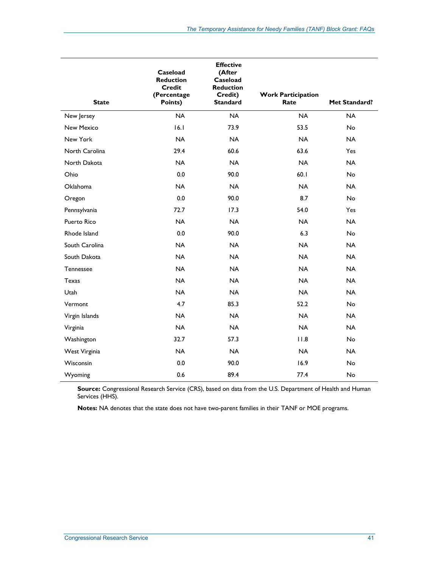| <b>State</b>      | Caseload<br><b>Reduction</b><br><b>Credit</b><br>(Percentage<br>Points) | <b>Effective</b><br>(After<br>Caseload<br><b>Reduction</b><br>Credit)<br><b>Standard</b> | <b>Work Participation</b><br>Rate | Met Standard? |
|-------------------|-------------------------------------------------------------------------|------------------------------------------------------------------------------------------|-----------------------------------|---------------|
| New Jersey        | <b>NA</b>                                                               | <b>NA</b>                                                                                | <b>NA</b>                         | <b>NA</b>     |
| <b>New Mexico</b> | 16.1                                                                    | 73.9                                                                                     | 53.5                              | No            |
| New York          | <b>NA</b>                                                               | <b>NA</b>                                                                                | <b>NA</b>                         | <b>NA</b>     |
| North Carolina    | 29.4                                                                    | 60.6                                                                                     | 63.6                              | Yes           |
| North Dakota      | <b>NA</b>                                                               | <b>NA</b>                                                                                | <b>NA</b>                         | <b>NA</b>     |
| Ohio              | 0.0                                                                     | 90.0                                                                                     | 60.1                              | <b>No</b>     |
| <b>Oklahoma</b>   | <b>NA</b>                                                               | <b>NA</b>                                                                                | <b>NA</b>                         | <b>NA</b>     |
| Oregon            | 0.0                                                                     | 90.0                                                                                     | 8.7                               | <b>No</b>     |
| Pennsylvania      | 72.7                                                                    | 17.3                                                                                     | 54.0                              | Yes           |
| Puerto Rico       | <b>NA</b>                                                               | <b>NA</b>                                                                                | <b>NA</b>                         | <b>NA</b>     |
| Rhode Island      | 0.0                                                                     | 90.0                                                                                     | 6.3                               | No            |
| South Carolina    | <b>NA</b>                                                               | <b>NA</b>                                                                                | <b>NA</b>                         | <b>NA</b>     |
| South Dakota      | <b>NA</b>                                                               | <b>NA</b>                                                                                | <b>NA</b>                         | <b>NA</b>     |
| <b>Tennessee</b>  | <b>NA</b>                                                               | <b>NA</b>                                                                                | <b>NA</b>                         | <b>NA</b>     |
| <b>Texas</b>      | <b>NA</b>                                                               | <b>NA</b>                                                                                | <b>NA</b>                         | <b>NA</b>     |
| Utah              | <b>NA</b>                                                               | <b>NA</b>                                                                                | <b>NA</b>                         | <b>NA</b>     |
| Vermont           | 4.7                                                                     | 85.3                                                                                     | 52.2                              | No            |
| Virgin Islands    | <b>NA</b>                                                               | <b>NA</b>                                                                                | <b>NA</b>                         | <b>NA</b>     |
| Virginia          | <b>NA</b>                                                               | <b>NA</b>                                                                                | <b>NA</b>                         | <b>NA</b>     |
| Washington        | 32.7                                                                    | 57.3                                                                                     | 11.8                              | No            |
| West Virginia     | <b>NA</b>                                                               | <b>NA</b>                                                                                | <b>NA</b>                         | <b>NA</b>     |
| Wisconsin         | 0.0                                                                     | 90.0                                                                                     | 16.9                              | No            |
| Wyoming           | 0.6                                                                     | 89.4                                                                                     | 77.4                              | No            |

**Notes:** NA denotes that the state does not have two-parent families in their TANF or MOE programs.